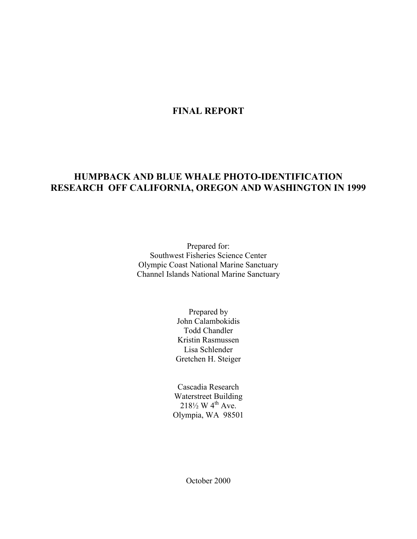## **FINAL REPORT**

# **HUMPBACK AND BLUE WHALE PHOTO-IDENTIFICATION RESEARCH OFF CALIFORNIA, OREGON AND WASHINGTON IN 1999**

Prepared for: Southwest Fisheries Science Center Olympic Coast National Marine Sanctuary Channel Islands National Marine Sanctuary

> Prepared by John Calambokidis Todd Chandler Kristin Rasmussen Lisa Schlender Gretchen H. Steiger

Cascadia Research Waterstreet Building  $218\frac{1}{2}$  W 4<sup>th</sup> Ave. Olympia, WA 98501

October 2000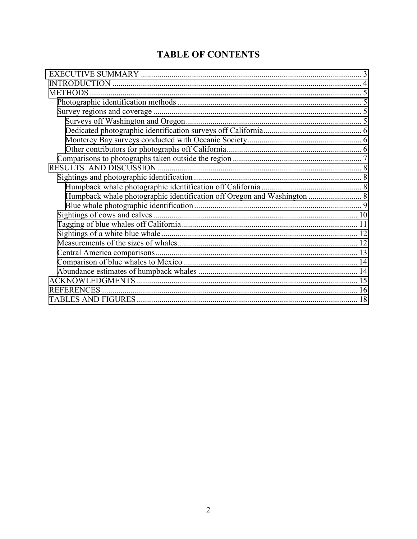# **TABLE OF CONTENTS**

| <b>METHODS</b>    |  |
|-------------------|--|
|                   |  |
|                   |  |
|                   |  |
|                   |  |
|                   |  |
|                   |  |
|                   |  |
|                   |  |
|                   |  |
|                   |  |
|                   |  |
|                   |  |
|                   |  |
|                   |  |
|                   |  |
|                   |  |
|                   |  |
|                   |  |
|                   |  |
|                   |  |
| <b>REFERENCES</b> |  |
|                   |  |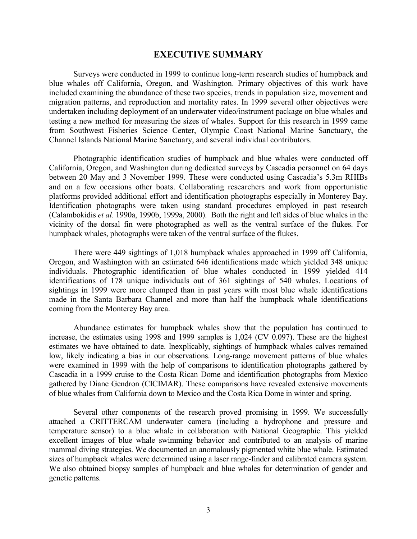## **EXECUTIVE SUMMARY**

<span id="page-2-0"></span>Surveys were conducted in 1999 to continue long-term research studies of humpback and blue whales off California, Oregon, and Washington. Primary objectives of this work have included examining the abundance of these two species, trends in population size, movement and migration patterns, and reproduction and mortality rates. In 1999 several other objectives were undertaken including deployment of an underwater video/instrument package on blue whales and testing a new method for measuring the sizes of whales. Support for this research in 1999 came from Southwest Fisheries Science Center, Olympic Coast National Marine Sanctuary, the Channel Islands National Marine Sanctuary, and several individual contributors.

Photographic identification studies of humpback and blue whales were conducted off California, Oregon, and Washington during dedicated surveys by Cascadia personnel on 64 days between 20 May and 3 November 1999. These were conducted using Cascadia's 5.3m RHIBs and on a few occasions other boats. Collaborating researchers and work from opportunistic platforms provided additional effort and identification photographs especially in Monterey Bay. Identification photographs were taken using standard procedures employed in past research (Calambokidis *et al.* 1990a, 1990b, 1999a, 2000). Both the right and left sides of blue whales in the vicinity of the dorsal fin were photographed as well as the ventral surface of the flukes. For humpback whales, photographs were taken of the ventral surface of the flukes.

There were 449 sightings of 1,018 humpback whales approached in 1999 off California, Oregon, and Washington with an estimated 646 identifications made which yielded 348 unique individuals. Photographic identification of blue whales conducted in 1999 yielded 414 identifications of 178 unique individuals out of 361 sightings of 540 whales. Locations of sightings in 1999 were more clumped than in past years with most blue whale identifications made in the Santa Barbara Channel and more than half the humpback whale identifications coming from the Monterey Bay area.

Abundance estimates for humpback whales show that the population has continued to increase, the estimates using 1998 and 1999 samples is 1,024 (CV 0.097). These are the highest estimates we have obtained to date. Inexplicably, sightings of humpback whales calves remained low, likely indicating a bias in our observations. Long-range movement patterns of blue whales were examined in 1999 with the help of comparisons to identification photographs gathered by Cascadia in a 1999 cruise to the Costa Rican Dome and identification photographs from Mexico gathered by Diane Gendron (CICIMAR). These comparisons have revealed extensive movements of blue whales from California down to Mexico and the Costa Rica Dome in winter and spring.

Several other components of the research proved promising in 1999. We successfully attached a CRITTERCAM underwater camera (including a hydrophone and pressure and temperature sensor) to a blue whale in collaboration with National Geographic. This yielded excellent images of blue whale swimming behavior and contributed to an analysis of marine mammal diving strategies. We documented an anomalously pigmented white blue whale. Estimated sizes of humpback whales were determined using a laser range-finder and calibrated camera system. We also obtained biopsy samples of humpback and blue whales for determination of gender and genetic patterns.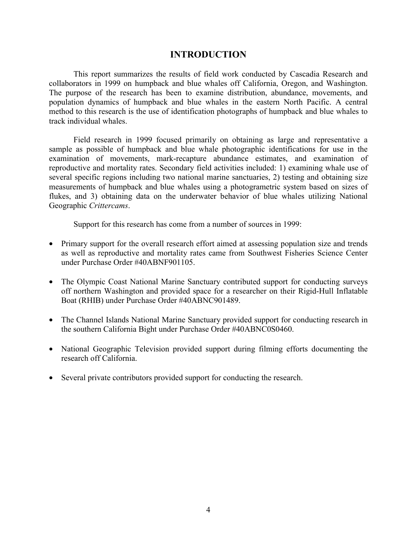## **INTRODUCTION**

<span id="page-3-0"></span>This report summarizes the results of field work conducted by Cascadia Research and collaborators in 1999 on humpback and blue whales off California, Oregon, and Washington. The purpose of the research has been to examine distribution, abundance, movements, and population dynamics of humpback and blue whales in the eastern North Pacific. A central method to this research is the use of identification photographs of humpback and blue whales to track individual whales.

Field research in 1999 focused primarily on obtaining as large and representative a sample as possible of humpback and blue whale photographic identifications for use in the examination of movements, mark-recapture abundance estimates, and examination of reproductive and mortality rates. Secondary field activities included: 1) examining whale use of several specific regions including two national marine sanctuaries, 2) testing and obtaining size measurements of humpback and blue whales using a photogrametric system based on sizes of flukes, and 3) obtaining data on the underwater behavior of blue whales utilizing National Geographic *Crittercams*.

Support for this research has come from a number of sources in 1999:

- Primary support for the overall research effort aimed at assessing population size and trends as well as reproductive and mortality rates came from Southwest Fisheries Science Center under Purchase Order #40ABNF901105.
- The Olympic Coast National Marine Sanctuary contributed support for conducting surveys off northern Washington and provided space for a researcher on their Rigid-Hull Inflatable Boat (RHIB) under Purchase Order #40ABNC901489.
- The Channel Islands National Marine Sanctuary provided support for conducting research in the southern California Bight under Purchase Order #40ABNC0S0460.
- National Geographic Television provided support during filming efforts documenting the research off California.
- Several private contributors provided support for conducting the research.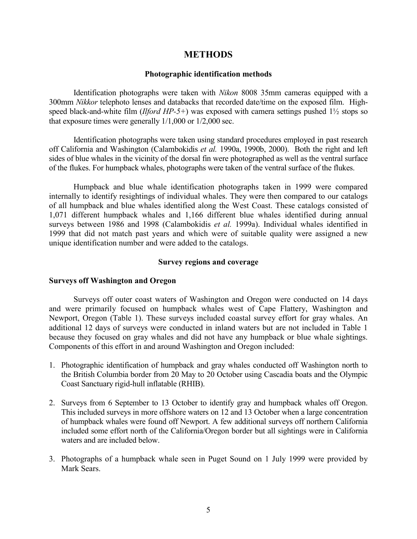## **METHODS**

#### **Photographic identification methods**

<span id="page-4-0"></span>Identification photographs were taken with *Nikon* 8008 35mm cameras equipped with a 300mm *Nikkor* telephoto lenses and databacks that recorded date/time on the exposed film. Highspeed black-and-white film (*Ilford HP-5+*) was exposed with camera settings pushed 1½ stops so that exposure times were generally 1/1,000 or 1/2,000 sec.

Identification photographs were taken using standard procedures employed in past research off California and Washington (Calambokidis *et al.* 1990a, 1990b, 2000). Both the right and left sides of blue whales in the vicinity of the dorsal fin were photographed as well as the ventral surface of the flukes. For humpback whales, photographs were taken of the ventral surface of the flukes.

Humpback and blue whale identification photographs taken in 1999 were compared internally to identify resightings of individual whales. They were then compared to our catalogs of all humpback and blue whales identified along the West Coast. These catalogs consisted of 1,071 different humpback whales and 1,166 different blue whales identified during annual surveys between 1986 and 1998 (Calambokidis *et al.* 1999a). Individual whales identified in 1999 that did not match past years and which were of suitable quality were assigned a new unique identification number and were added to the catalogs.

#### **Survey regions and coverage**

## **Surveys off Washington and Oregon**

Surveys off outer coast waters of Washington and Oregon were conducted on 14 days and were primarily focused on humpback whales west of Cape Flattery, Washington and Newport, Oregon (Table 1). These surveys included coastal survey effort for gray whales. An additional 12 days of surveys were conducted in inland waters but are not included in Table 1 because they focused on gray whales and did not have any humpback or blue whale sightings. Components of this effort in and around Washington and Oregon included:

- 1. Photographic identification of humpback and gray whales conducted off Washington north to the British Columbia border from 20 May to 20 October using Cascadia boats and the Olympic Coast Sanctuary rigid-hull inflatable (RHIB).
- 2. Surveys from 6 September to 13 October to identify gray and humpback whales off Oregon. This included surveys in more offshore waters on 12 and 13 October when a large concentration of humpback whales were found off Newport. A few additional surveys off northern California included some effort north of the California/Oregon border but all sightings were in California waters and are included below.
- 3. Photographs of a humpback whale seen in Puget Sound on 1 July 1999 were provided by Mark Sears.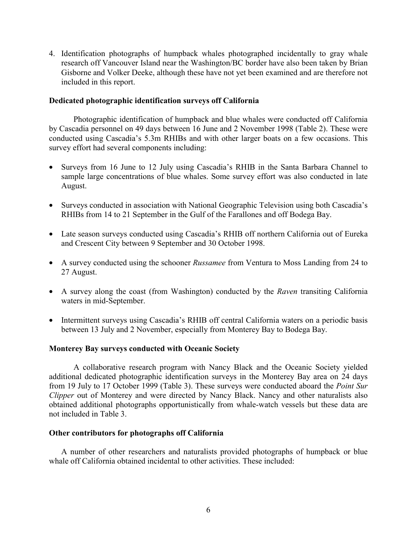<span id="page-5-0"></span>4. Identification photographs of humpback whales photographed incidentally to gray whale research off Vancouver Island near the Washington/BC border have also been taken by Brian Gisborne and Volker Deeke, although these have not yet been examined and are therefore not included in this report.

## **Dedicated photographic identification surveys off California**

Photographic identification of humpback and blue whales were conducted off California by Cascadia personnel on 49 days between 16 June and 2 November 1998 (Table 2). These were conducted using Cascadia's 5.3m RHIBs and with other larger boats on a few occasions. This survey effort had several components including:

- Surveys from 16 June to 12 July using Cascadia's RHIB in the Santa Barbara Channel to sample large concentrations of blue whales. Some survey effort was also conducted in late August.
- Surveys conducted in association with National Geographic Television using both Cascadia's RHIBs from 14 to 21 September in the Gulf of the Farallones and off Bodega Bay.
- Late season surveys conducted using Cascadia's RHIB off northern California out of Eureka and Crescent City between 9 September and 30 October 1998.
- A survey conducted using the schooner *Russamee* from Ventura to Moss Landing from 24 to 27 August.
- A survey along the coast (from Washington) conducted by the *Raven* transiting California waters in mid-September.
- Intermittent surveys using Cascadia's RHIB off central California waters on a periodic basis between 13 July and 2 November, especially from Monterey Bay to Bodega Bay.

## **Monterey Bay surveys conducted with Oceanic Society**

A collaborative research program with Nancy Black and the Oceanic Society yielded additional dedicated photographic identification surveys in the Monterey Bay area on 24 days from 19 July to 17 October 1999 (Table 3). These surveys were conducted aboard the *Point Sur Clipper* out of Monterey and were directed by Nancy Black. Nancy and other naturalists also obtained additional photographs opportunistically from whale-watch vessels but these data are not included in Table 3.

#### **Other contributors for photographs off California**

A number of other researchers and naturalists provided photographs of humpback or blue whale off California obtained incidental to other activities. These included: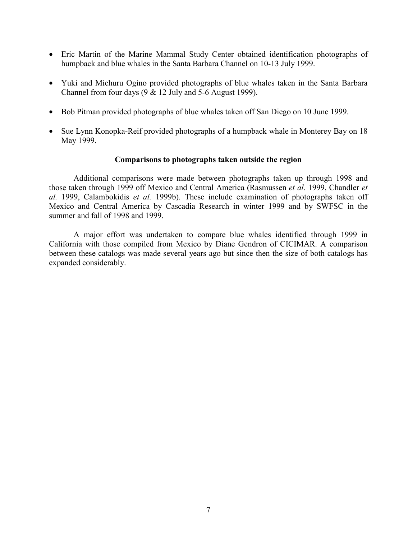- <span id="page-6-0"></span>• Eric Martin of the Marine Mammal Study Center obtained identification photographs of humpback and blue whales in the Santa Barbara Channel on 10-13 July 1999.
- Yuki and Michuru Ogino provided photographs of blue whales taken in the Santa Barbara Channel from four days  $(9 \& 12 \text{ July and } 5-6 \text{ August } 1999)$ .
- Bob Pitman provided photographs of blue whales taken off San Diego on 10 June 1999.
- Sue Lynn Konopka-Reif provided photographs of a humpback whale in Monterey Bay on 18 May 1999.

## **Comparisons to photographs taken outside the region**

Additional comparisons were made between photographs taken up through 1998 and those taken through 1999 off Mexico and Central America (Rasmussen *et al.* 1999, Chandler *et al.* 1999, Calambokidis *et al.* 1999b). These include examination of photographs taken off Mexico and Central America by Cascadia Research in winter 1999 and by SWFSC in the summer and fall of 1998 and 1999.

A major effort was undertaken to compare blue whales identified through 1999 in California with those compiled from Mexico by Diane Gendron of CICIMAR. A comparison between these catalogs was made several years ago but since then the size of both catalogs has expanded considerably.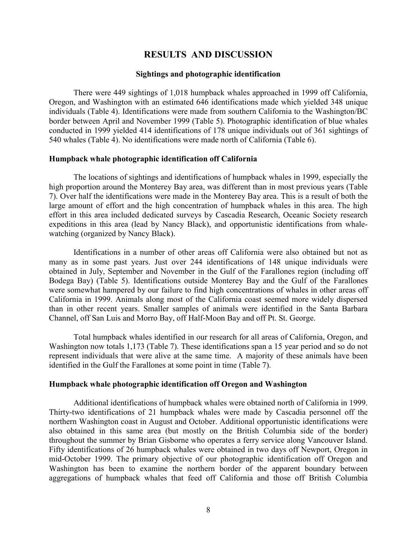## **RESULTS AND DISCUSSION**

#### **Sightings and photographic identification**

<span id="page-7-0"></span>There were 449 sightings of 1,018 humpback whales approached in 1999 off California, Oregon, and Washington with an estimated 646 identifications made which yielded 348 unique individuals (Table 4). Identifications were made from southern California to the Washington/BC border between April and November 1999 (Table 5). Photographic identification of blue whales conducted in 1999 yielded 414 identifications of 178 unique individuals out of 361 sightings of 540 whales (Table 4). No identifications were made north of California (Table 6).

#### **Humpback whale photographic identification off California**

The locations of sightings and identifications of humpback whales in 1999, especially the high proportion around the Monterey Bay area, was different than in most previous years (Table 7). Over half the identifications were made in the Monterey Bay area. This is a result of both the large amount of effort and the high concentration of humpback whales in this area. The high effort in this area included dedicated surveys by Cascadia Research, Oceanic Society research expeditions in this area (lead by Nancy Black), and opportunistic identifications from whalewatching (organized by Nancy Black).

Identifications in a number of other areas off California were also obtained but not as many as in some past years. Just over 244 identifications of 148 unique individuals were obtained in July, September and November in the Gulf of the Farallones region (including off Bodega Bay) (Table 5). Identifications outside Monterey Bay and the Gulf of the Farallones were somewhat hampered by our failure to find high concentrations of whales in other areas off California in 1999. Animals along most of the California coast seemed more widely dispersed than in other recent years. Smaller samples of animals were identified in the Santa Barbara Channel, off San Luis and Morro Bay, off Half-Moon Bay and off Pt. St. George.

Total humpback whales identified in our research for all areas of California, Oregon, and Washington now totals 1,173 (Table 7). These identifications span a 15 year period and so do not represent individuals that were alive at the same time. A majority of these animals have been identified in the Gulf the Farallones at some point in time (Table 7).

#### **Humpback whale photographic identification off Oregon and Washington**

Additional identifications of humpback whales were obtained north of California in 1999. Thirty-two identifications of 21 humpback whales were made by Cascadia personnel off the northern Washington coast in August and October. Additional opportunistic identifications were also obtained in this same area (but mostly on the British Columbia side of the border) throughout the summer by Brian Gisborne who operates a ferry service along Vancouver Island. Fifty identifications of 26 humpback whales were obtained in two days off Newport, Oregon in mid-October 1999. The primary objective of our photographic identification off Oregon and Washington has been to examine the northern border of the apparent boundary between aggregations of humpback whales that feed off California and those off British Columbia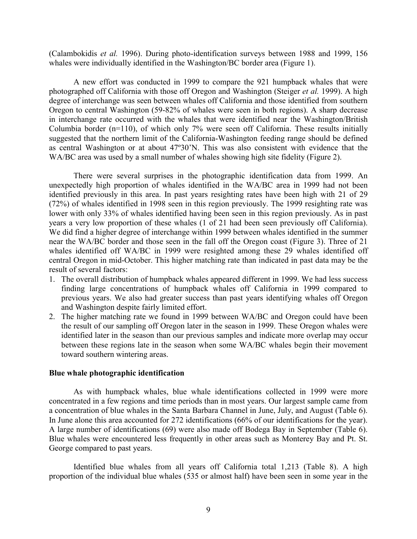<span id="page-8-0"></span>(Calambokidis *et al.* 1996). During photo-identification surveys between 1988 and 1999, 156 whales were individually identified in the Washington/BC border area (Figure 1).

A new effort was conducted in 1999 to compare the 921 humpback whales that were photographed off California with those off Oregon and Washington (Steiger *et al.* 1999). A high degree of interchange was seen between whales off California and those identified from southern Oregon to central Washington (59-82% of whales were seen in both regions). A sharp decrease in interchange rate occurred with the whales that were identified near the Washington/British Columbia border (n=110), of which only 7% were seen off California. These results initially suggested that the northern limit of the California-Washington feeding range should be defined as central Washington or at about 47º30'N. This was also consistent with evidence that the WA/BC area was used by a small number of whales showing high site fidelity (Figure 2).

There were several surprises in the photographic identification data from 1999. An unexpectedly high proportion of whales identified in the WA/BC area in 1999 had not been identified previously in this area. In past years resighting rates have been high with 21 of 29 (72%) of whales identified in 1998 seen in this region previously. The 1999 resighting rate was lower with only 33% of whales identified having been seen in this region previously. As in past years a very low proportion of these whales (1 of 21 had been seen previously off California). We did find a higher degree of interchange within 1999 between whales identified in the summer near the WA/BC border and those seen in the fall off the Oregon coast (Figure 3). Three of 21 whales identified off WA/BC in 1999 were resighted among these 29 whales identified off central Oregon in mid-October. This higher matching rate than indicated in past data may be the result of several factors:

- 1. The overall distribution of humpback whales appeared different in 1999. We had less success finding large concentrations of humpback whales off California in 1999 compared to previous years. We also had greater success than past years identifying whales off Oregon and Washington despite fairly limited effort.
- 2. The higher matching rate we found in 1999 between WA/BC and Oregon could have been the result of our sampling off Oregon later in the season in 1999. These Oregon whales were identified later in the season than our previous samples and indicate more overlap may occur between these regions late in the season when some WA/BC whales begin their movement toward southern wintering areas.

#### **Blue whale photographic identification**

As with humpback whales, blue whale identifications collected in 1999 were more concentrated in a few regions and time periods than in most years. Our largest sample came from a concentration of blue whales in the Santa Barbara Channel in June, July, and August (Table 6). In June alone this area accounted for 272 identifications (66% of our identifications for the year). A large number of identifications (69) were also made off Bodega Bay in September (Table 6). Blue whales were encountered less frequently in other areas such as Monterey Bay and Pt. St. George compared to past years.

Identified blue whales from all years off California total 1,213 (Table 8). A high proportion of the individual blue whales (535 or almost half) have been seen in some year in the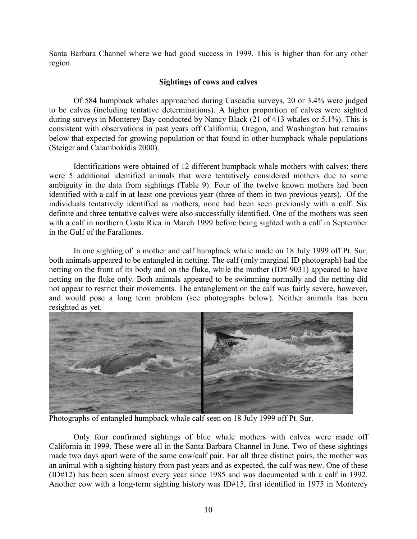<span id="page-9-0"></span>Santa Barbara Channel where we had good success in 1999. This is higher than for any other region.

## **Sightings of cows and calves**

Of 584 humpback whales approached during Cascadia surveys, 20 or 3.4% were judged to be calves (including tentative determinations). A higher proportion of calves were sighted during surveys in Monterey Bay conducted by Nancy Black (21 of 413 whales or 5.1%). This is consistent with observations in past years off California, Oregon, and Washington but remains below that expected for growing population or that found in other humpback whale populations (Steiger and Calambokidis 2000).

Identifications were obtained of 12 different humpback whale mothers with calves; there were 5 additional identified animals that were tentatively considered mothers due to some ambiguity in the data from sightings (Table 9). Four of the twelve known mothers had been identified with a calf in at least one previous year (three of them in two previous years). Of the individuals tentatively identified as mothers, none had been seen previously with a calf. Six definite and three tentative calves were also successfully identified. One of the mothers was seen with a calf in northern Costa Rica in March 1999 before being sighted with a calf in September in the Gulf of the Farallones.

In one sighting of a mother and calf humpback whale made on 18 July 1999 off Pt. Sur, both animals appeared to be entangled in netting. The calf (only marginal ID photograph) had the netting on the front of its body and on the fluke, while the mother (ID# 9031) appeared to have netting on the fluke only. Both animals appeared to be swimming normally and the netting did not appear to restrict their movements. The entanglement on the calf was fairly severe, however, and would pose a long term problem (see photographs below). Neither animals has been resighted as yet.



Photographs of entangled humpback whale calf seen on 18 July 1999 off Pt. Sur.

Only four confirmed sightings of blue whale mothers with calves were made off California in 1999. These were all in the Santa Barbara Channel in June. Two of these sightings made two days apart were of the same cow/calf pair. For all three distinct pairs, the mother was an animal with a sighting history from past years and as expected, the calf was new. One of these (ID#12) has been seen almost every year since 1985 and was documented with a calf in 1992. Another cow with a long-term sighting history was ID#15, first identified in 1975 in Monterey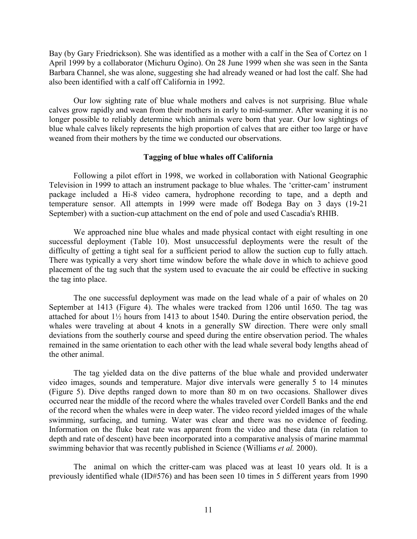<span id="page-10-0"></span>Bay (by Gary Friedrickson). She was identified as a mother with a calf in the Sea of Cortez on 1 April 1999 by a collaborator (Michuru Ogino). On 28 June 1999 when she was seen in the Santa Barbara Channel, she was alone, suggesting she had already weaned or had lost the calf. She had also been identified with a calf off California in 1992.

Our low sighting rate of blue whale mothers and calves is not surprising. Blue whale calves grow rapidly and wean from their mothers in early to mid-summer. After weaning it is no longer possible to reliably determine which animals were born that year. Our low sightings of blue whale calves likely represents the high proportion of calves that are either too large or have weaned from their mothers by the time we conducted our observations.

## **Tagging of blue whales off California**

Following a pilot effort in 1998, we worked in collaboration with National Geographic Television in 1999 to attach an instrument package to blue whales. The 'critter-cam' instrument package included a Hi-8 video camera, hydrophone recording to tape, and a depth and temperature sensor. All attempts in 1999 were made off Bodega Bay on 3 days (19-21 September) with a suction-cup attachment on the end of pole and used Cascadia's RHIB.

We approached nine blue whales and made physical contact with eight resulting in one successful deployment (Table 10). Most unsuccessful deployments were the result of the difficulty of getting a tight seal for a sufficient period to allow the suction cup to fully attach. There was typically a very short time window before the whale dove in which to achieve good placement of the tag such that the system used to evacuate the air could be effective in sucking the tag into place.

The one successful deployment was made on the lead whale of a pair of whales on 20 September at 1413 (Figure 4). The whales were tracked from 1206 until 1650. The tag was attached for about 1½ hours from 1413 to about 1540. During the entire observation period, the whales were traveling at about 4 knots in a generally SW direction. There were only small deviations from the southerly course and speed during the entire observation period. The whales remained in the same orientation to each other with the lead whale several body lengths ahead of the other animal.

The tag yielded data on the dive patterns of the blue whale and provided underwater video images, sounds and temperature. Major dive intervals were generally 5 to 14 minutes (Figure 5). Dive depths ranged down to more than 80 m on two occasions. Shallower dives occurred near the middle of the record where the whales traveled over Cordell Banks and the end of the record when the whales were in deep water. The video record yielded images of the whale swimming, surfacing, and turning. Water was clear and there was no evidence of feeding. Information on the fluke beat rate was apparent from the video and these data (in relation to depth and rate of descent) have been incorporated into a comparative analysis of marine mammal swimming behavior that was recently published in Science (Williams *et al.* 2000).

The animal on which the critter-cam was placed was at least 10 years old. It is a previously identified whale (ID#576) and has been seen 10 times in 5 different years from 1990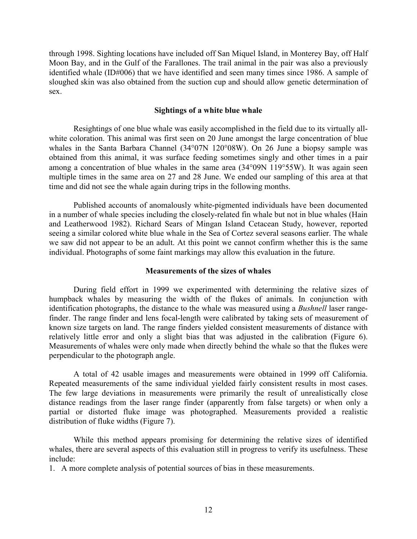<span id="page-11-0"></span>through 1998. Sighting locations have included off San Miquel Island, in Monterey Bay, off Half Moon Bay, and in the Gulf of the Farallones. The trail animal in the pair was also a previously identified whale (ID#006) that we have identified and seen many times since 1986. A sample of sloughed skin was also obtained from the suction cup and should allow genetic determination of sex.

## **Sightings of a white blue whale**

Resightings of one blue whale was easily accomplished in the field due to its virtually allwhite coloration. This animal was first seen on 20 June amongst the large concentration of blue whales in the Santa Barbara Channel (34°07N 120°08W). On 26 June a biopsy sample was obtained from this animal, it was surface feeding sometimes singly and other times in a pair among a concentration of blue whales in the same area (34°09N 119°55W). It was again seen multiple times in the same area on 27 and 28 June. We ended our sampling of this area at that time and did not see the whale again during trips in the following months.

Published accounts of anomalously white-pigmented individuals have been documented in a number of whale species including the closely-related fin whale but not in blue whales (Hain and Leatherwood 1982). Richard Sears of Mingan Island Cetacean Study, however, reported seeing a similar colored white blue whale in the Sea of Cortez several seasons earlier. The whale we saw did not appear to be an adult. At this point we cannot confirm whether this is the same individual. Photographs of some faint markings may allow this evaluation in the future.

#### **Measurements of the sizes of whales**

During field effort in 1999 we experimented with determining the relative sizes of humpback whales by measuring the width of the flukes of animals. In conjunction with identification photographs, the distance to the whale was measured using a *Bushnell* laser rangefinder. The range finder and lens focal-length were calibrated by taking sets of measurement of known size targets on land. The range finders yielded consistent measurements of distance with relatively little error and only a slight bias that was adjusted in the calibration (Figure 6). Measurements of whales were only made when directly behind the whale so that the flukes were perpendicular to the photograph angle.

A total of 42 usable images and measurements were obtained in 1999 off California. Repeated measurements of the same individual yielded fairly consistent results in most cases. The few large deviations in measurements were primarily the result of unrealistically close distance readings from the laser range finder (apparently from false targets) or when only a partial or distorted fluke image was photographed. Measurements provided a realistic distribution of fluke widths (Figure 7).

While this method appears promising for determining the relative sizes of identified whales, there are several aspects of this evaluation still in progress to verify its usefulness. These include:

1. A more complete analysis of potential sources of bias in these measurements.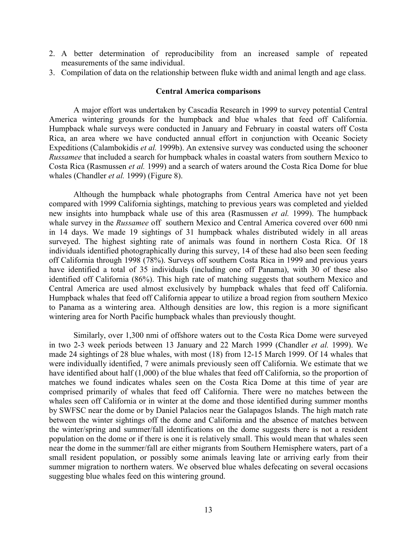- <span id="page-12-0"></span>2. A better determination of reproducibility from an increased sample of repeated measurements of the same individual.
- 3. Compilation of data on the relationship between fluke width and animal length and age class.

## **Central America comparisons**

A major effort was undertaken by Cascadia Research in 1999 to survey potential Central America wintering grounds for the humpback and blue whales that feed off California. Humpback whale surveys were conducted in January and February in coastal waters off Costa Rica, an area where we have conducted annual effort in conjunction with Oceanic Society Expeditions (Calambokidis *et al.* 1999b). An extensive survey was conducted using the schooner *Russamee* that included a search for humpback whales in coastal waters from southern Mexico to Costa Rica (Rasmussen *et al.* 1999) and a search of waters around the Costa Rica Dome for blue whales (Chandler *et al.* 1999) (Figure 8).

Although the humpback whale photographs from Central America have not yet been compared with 1999 California sightings, matching to previous years was completed and yielded new insights into humpback whale use of this area (Rasmussen *et al.* 1999). The humpback whale survey in the *Russamee* off southern Mexico and Central America covered over 600 nmi in 14 days. We made 19 sightings of 31 humpback whales distributed widely in all areas surveyed. The highest sighting rate of animals was found in northern Costa Rica. Of 18 individuals identified photographically during this survey, 14 of these had also been seen feeding off California through 1998 (78%). Surveys off southern Costa Rica in 1999 and previous years have identified a total of 35 individuals (including one off Panama), with 30 of these also identified off California (86%). This high rate of matching suggests that southern Mexico and Central America are used almost exclusively by humpback whales that feed off California. Humpback whales that feed off California appear to utilize a broad region from southern Mexico to Panama as a wintering area. Although densities are low, this region is a more significant wintering area for North Pacific humpback whales than previously thought.

Similarly, over 1,300 nmi of offshore waters out to the Costa Rica Dome were surveyed in two 2-3 week periods between 13 January and 22 March 1999 (Chandler *et al.* 1999). We made 24 sightings of 28 blue whales, with most (18) from 12-15 March 1999. Of 14 whales that were individually identified, 7 were animals previously seen off California. We estimate that we have identified about half (1,000) of the blue whales that feed off California, so the proportion of matches we found indicates whales seen on the Costa Rica Dome at this time of year are comprised primarily of whales that feed off California. There were no matches between the whales seen off California or in winter at the dome and those identified during summer months by SWFSC near the dome or by Daniel Palacios near the Galapagos Islands. The high match rate between the winter sightings off the dome and California and the absence of matches between the winter/spring and summer/fall identifications on the dome suggests there is not a resident population on the dome or if there is one it is relatively small. This would mean that whales seen near the dome in the summer/fall are either migrants from Southern Hemisphere waters, part of a small resident population, or possibly some animals leaving late or arriving early from their summer migration to northern waters. We observed blue whales defecating on several occasions suggesting blue whales feed on this wintering ground.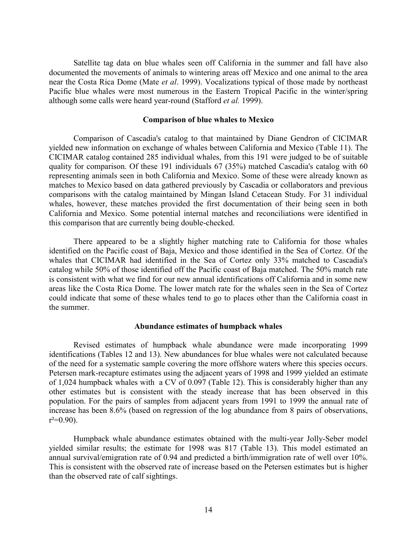<span id="page-13-0"></span>Satellite tag data on blue whales seen off California in the summer and fall have also documented the movements of animals to wintering areas off Mexico and one animal to the area near the Costa Rica Dome (Mate *et al*. 1999). Vocalizations typical of those made by northeast Pacific blue whales were most numerous in the Eastern Tropical Pacific in the winter/spring although some calls were heard year-round (Stafford *et al.* 1999).

#### **Comparison of blue whales to Mexico**

Comparison of Cascadia's catalog to that maintained by Diane Gendron of CICIMAR yielded new information on exchange of whales between California and Mexico (Table 11). The CICIMAR catalog contained 285 individual whales, from this 191 were judged to be of suitable quality for comparison. Of these 191 individuals 67 (35%) matched Cascadia's catalog with 60 representing animals seen in both California and Mexico. Some of these were already known as matches to Mexico based on data gathered previously by Cascadia or collaborators and previous comparisons with the catalog maintained by Mingan Island Cetacean Study. For 31 individual whales, however, these matches provided the first documentation of their being seen in both California and Mexico. Some potential internal matches and reconciliations were identified in this comparison that are currently being double-checked.

There appeared to be a slightly higher matching rate to California for those whales identified on the Pacific coast of Baja, Mexico and those identified in the Sea of Cortez. Of the whales that CICIMAR had identified in the Sea of Cortez only 33% matched to Cascadia's catalog while 50% of those identified off the Pacific coast of Baja matched. The 50% match rate is consistent with what we find for our new annual identifications off California and in some new areas like the Costa Rica Dome. The lower match rate for the whales seen in the Sea of Cortez could indicate that some of these whales tend to go to places other than the California coast in the summer.

#### **Abundance estimates of humpback whales**

Revised estimates of humpback whale abundance were made incorporating 1999 identifications (Tables 12 and 13). New abundances for blue whales were not calculated because of the need for a systematic sample covering the more offshore waters where this species occurs. Petersen mark-recapture estimates using the adjacent years of 1998 and 1999 yielded an estimate of 1,024 humpback whales with a CV of 0.097 (Table 12). This is considerably higher than any other estimates but is consistent with the steady increase that has been observed in this population. For the pairs of samples from adjacent years from 1991 to 1999 the annual rate of increase has been 8.6% (based on regression of the log abundance from 8 pairs of observations,  $r^2=0.90$ ).

Humpback whale abundance estimates obtained with the multi-year Jolly-Seber model yielded similar results; the estimate for 1998 was 817 (Table 13). This model estimated an annual survival/emigration rate of 0.94 and predicted a birth/immigration rate of well over 10%. This is consistent with the observed rate of increase based on the Petersen estimates but is higher than the observed rate of calf sightings.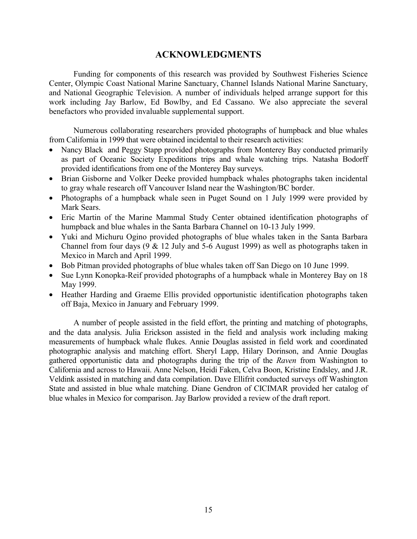## **ACKNOWLEDGMENTS**

<span id="page-14-0"></span>Funding for components of this research was provided by Southwest Fisheries Science Center, Olympic Coast National Marine Sanctuary, Channel Islands National Marine Sanctuary, and National Geographic Television. A number of individuals helped arrange support for this work including Jay Barlow, Ed Bowlby, and Ed Cassano. We also appreciate the several benefactors who provided invaluable supplemental support.

Numerous collaborating researchers provided photographs of humpback and blue whales from California in 1999 that were obtained incidental to their research activities:

- Nancy Black and Peggy Stapp provided photographs from Monterey Bay conducted primarily as part of Oceanic Society Expeditions trips and whale watching trips. Natasha Bodorff provided identifications from one of the Monterey Bay surveys.
- Brian Gisborne and Volker Deeke provided humpback whales photographs taken incidental to gray whale research off Vancouver Island near the Washington/BC border.
- Photographs of a humpback whale seen in Puget Sound on 1 July 1999 were provided by Mark Sears.
- Eric Martin of the Marine Mammal Study Center obtained identification photographs of humpback and blue whales in the Santa Barbara Channel on 10-13 July 1999.
- Yuki and Michuru Ogino provided photographs of blue whales taken in the Santa Barbara Channel from four days  $(9 \& 12 \text{ July and } 5-6 \text{ August } 1999)$  as well as photographs taken in Mexico in March and April 1999.
- Bob Pitman provided photographs of blue whales taken off San Diego on 10 June 1999.
- Sue Lynn Konopka-Reif provided photographs of a humpback whale in Monterey Bay on 18 May 1999.
- Heather Harding and Graeme Ellis provided opportunistic identification photographs taken off Baja, Mexico in January and February 1999.

A number of people assisted in the field effort, the printing and matching of photographs, and the data analysis. Julia Erickson assisted in the field and analysis work including making measurements of humpback whale flukes. Annie Douglas assisted in field work and coordinated photographic analysis and matching effort. Sheryl Lapp, Hilary Dorinson, and Annie Douglas gathered opportunistic data and photographs during the trip of the *Raven* from Washington to California and across to Hawaii. Anne Nelson, Heidi Faken, Celva Boon, Kristine Endsley, and J.R. Veldink assisted in matching and data compilation. Dave Ellifrit conducted surveys off Washington State and assisted in blue whale matching. Diane Gendron of CICIMAR provided her catalog of blue whales in Mexico for comparison. Jay Barlow provided a review of the draft report.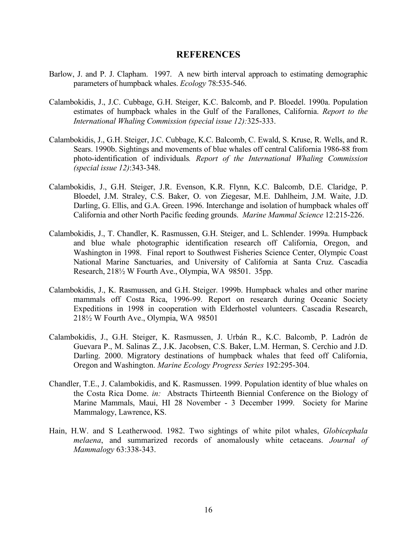## **REFERENCES**

- <span id="page-15-0"></span>Barlow, J. and P. J. Clapham. 1997. A new birth interval approach to estimating demographic parameters of humpback whales. *Ecology* 78:535-546.
- Calambokidis, J., J.C. Cubbage, G.H. Steiger, K.C. Balcomb, and P. Bloedel. 1990a. Population estimates of humpback whales in the Gulf of the Farallones, California. *Report to the International Whaling Commission (special issue 12):*325-333.
- Calambokidis, J., G.H. Steiger, J.C. Cubbage, K.C. Balcomb, C. Ewald, S. Kruse, R. Wells, and R. Sears. 1990b. Sightings and movements of blue whales off central California 1986-88 from photo-identification of individuals*. Report of the International Whaling Commission (special issue 12)*:343-348.
- Calambokidis, J., G.H. Steiger, J.R. Evenson, K.R. Flynn, K.C. Balcomb, D.E. Claridge, P. Bloedel, J.M. Straley, C.S. Baker, O. von Ziegesar, M.E. Dahlheim, J.M. Waite, J.D. Darling, G. Ellis, and G.A. Green. 1996. Interchange and isolation of humpback whales off California and other North Pacific feeding grounds. *Marine Mammal Science* 12:215-226.
- Calambokidis, J., T. Chandler, K. Rasmussen, G.H. Steiger, and L. Schlender. 1999a. Humpback and blue whale photographic identification research off California, Oregon, and Washington in 1998. Final report to Southwest Fisheries Science Center, Olympic Coast National Marine Sanctuaries, and University of California at Santa Cruz. Cascadia Research, 218½ W Fourth Ave., Olympia, WA 98501. 35pp.
- Calambokidis, J., K. Rasmussen, and G.H. Steiger. 1999b. Humpback whales and other marine mammals off Costa Rica, 1996-99. Report on research during Oceanic Society Expeditions in 1998 in cooperation with Elderhostel volunteers. Cascadia Research, 218½ W Fourth Ave., Olympia, WA 98501
- Calambokidis, J., G.H. Steiger, K. Rasmussen, J. Urbán R., K.C. Balcomb, P. Ladrón de Guevara P., M. Salinas Z., J.K. Jacobsen, C.S. Baker, L.M. Herman, S. Cerchio and J.D. Darling. 2000. Migratory destinations of humpback whales that feed off California, Oregon and Washington. *Marine Ecology Progress Series* 192:295-304.
- Chandler, T.E., J. Calambokidis, and K. Rasmussen. 1999. Population identity of blue whales on the Costa Rica Dome. *in:* Abstracts Thirteenth Biennial Conference on the Biology of Marine Mammals, Maui, HI 28 November - 3 December 1999. Society for Marine Mammalogy, Lawrence, KS.
- Hain, H.W. and S Leatherwood. 1982. Two sightings of white pilot whales, *Globicephala melaena*, and summarized records of anomalously white cetaceans. *Journal of Mammalogy* 63:338-343.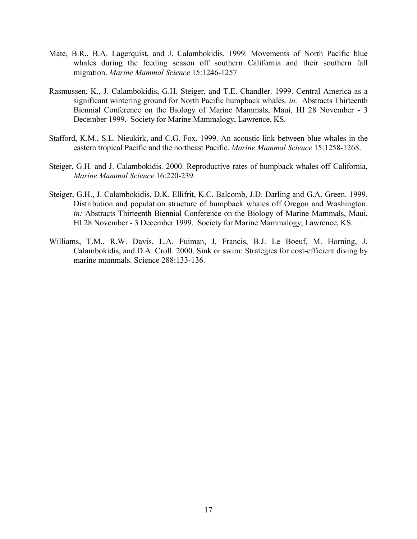- Mate, B.R., B.A. Lagerquist, and J. Calambokidis. 1999. Movements of North Pacific blue whales during the feeding season off southern California and their southern fall migration. *Marine Mammal Science* 15:1246-1257
- Rasmussen, K., J. Calambokidis, G.H. Steiger, and T.E. Chandler. 1999. Central America as a significant wintering ground for North Pacific humpback whales. *in:* Abstracts Thirteenth Biennial Conference on the Biology of Marine Mammals, Maui, HI 28 November - 3 December 1999. Society for Marine Mammalogy, Lawrence, KS.
- Stafford, K.M., S.L. Nieukirk, and C.G. Fox. 1999. An acoustic link between blue whales in the eastern tropical Pacific and the northeast Pacific. *Marine Mammal Science* 15:1258-1268.
- Steiger, G.H. and J. Calambokidis. 2000. Reproductive rates of humpback whales off California. *Marine Mammal Science* 16:220-239*.*
- Steiger, G.H., J. Calambokidis, D.K. Ellifrit, K.C. Balcomb, J.D. Darling and G.A. Green. 1999. Distribution and population structure of humpback whales off Oregon and Washington. *in:* Abstracts Thirteenth Biennial Conference on the Biology of Marine Mammals, Maui, HI 28 November - 3 December 1999. Society for Marine Mammalogy, Lawrence, KS.
- Williams, T.M., R.W. Davis, L.A. Fuiman, J. Francis, B.J. Le Boeuf, M. Horning, J. Calambokidis, and D.A. Croll. 2000. Sink or swim: Strategies for cost-efficient diving by marine mammals. Science 288:133-136.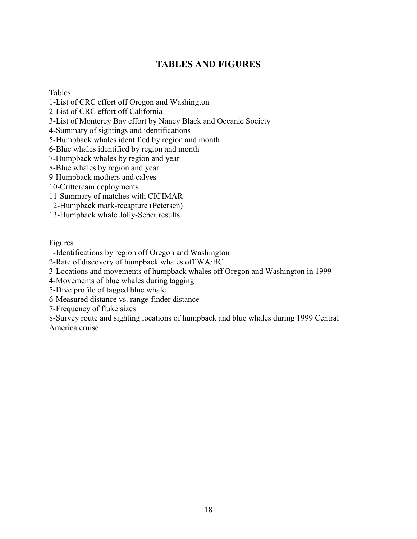# **TABLES AND FIGURES**

## <span id="page-17-0"></span>Tables

1-List of CRC effort off Oregon and Washington

2-List of CRC effort off California

3-List of Monterey Bay effort by Nancy Black and Oceanic Society

4-Summary of sightings and identifications

5-Humpback whales identified by region and month

6-Blue whales identified by region and month

7-Humpback whales by region and year

8-Blue whales by region and year

9-Humpback mothers and calves

10-Crittercam deployments

11-Summary of matches with CICIMAR

12-Humpback mark-recapture (Petersen)

13-Humpback whale Jolly-Seber results

Figures

1-Identifications by region off Oregon and Washington

2-Rate of discovery of humpback whales off WA/BC

3-Locations and movements of humpback whales off Oregon and Washington in 1999

4-Movements of blue whales during tagging

5-Dive profile of tagged blue whale

6-Measured distance vs. range-finder distance

7-Frequency of fluke sizes

8-Survey route and sighting locations of humpback and blue whales during 1999 Central America cruise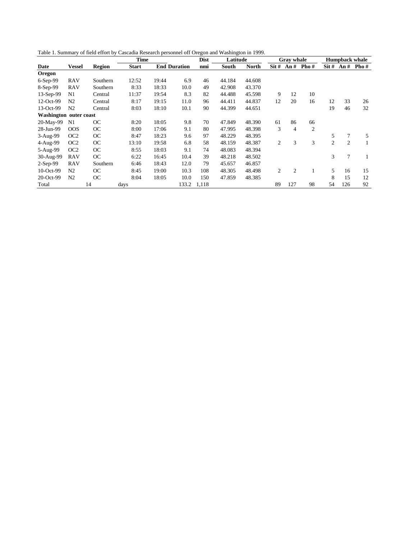Table 1. Summary of field effort by Cascadia Research personnel off Oregon and Washington in 1999.

|                        |                 |               | <b>Time</b>  |       |                     | <b>Dist</b> | Latitude |              |                | <b>Gray whale</b> |                |                  |                | <b>Humpback whale</b> |
|------------------------|-----------------|---------------|--------------|-------|---------------------|-------------|----------|--------------|----------------|-------------------|----------------|------------------|----------------|-----------------------|
| Date                   | <b>Vessel</b>   | <b>Region</b> | <b>Start</b> |       | <b>End Duration</b> | nmi         | South    | <b>North</b> | $\text{Sit }#$ | An#               | Pho $#$        | $\text{Sit } \#$ | An#            | Pho $#$               |
| Oregon                 |                 |               |              |       |                     |             |          |              |                |                   |                |                  |                |                       |
| 6-Sep-99               | <b>RAV</b>      | Southern      | 12:52        | 19:44 | 6.9                 | 46          | 44.184   | 44.608       |                |                   |                |                  |                |                       |
| 8-Sep-99               | <b>RAV</b>      | Southern      | 8:33         | 18:33 | 10.0                | 49          | 42.908   | 43.370       |                |                   |                |                  |                |                       |
| $13-Sep-99$            | N <sub>1</sub>  | Central       | 11:37        | 19:54 | 8.3                 | 82          | 44.488   | 45.598       | 9              | 12                | 10             |                  |                |                       |
| 12-Oct-99              | N <sub>2</sub>  | Central       | 8:17         | 19:15 | 11.0                | 96          | 44.411   | 44.837       | 12             | 20                | 16             | 12               | 33             | 26                    |
| 13-Oct-99              | N <sub>2</sub>  | Central       | 8:03         | 18:10 | 10.1                | 90          | 44.399   | 44.651       |                |                   |                | 19               | 46             | 32                    |
| Washington outer coast |                 |               |              |       |                     |             |          |              |                |                   |                |                  |                |                       |
| 20-May-99              | N <sub>1</sub>  | <b>OC</b>     | 8:20         | 18:05 | 9.8                 | 70          | 47.849   | 48.390       | 61             | 86                | 66             |                  |                |                       |
| 28-Jun-99              | OOS             | <b>OC</b>     | 8:00         | 17:06 | 9.1                 | 80          | 47.995   | 48.398       | 3              | 4                 | $\overline{2}$ |                  |                |                       |
| 3-Aug-99               | OC2             | <b>OC</b>     | 8:47         | 18:23 | 9.6                 | 97          | 48.229   | 48.395       |                |                   |                | 5                | 7              | 5                     |
| 4-Aug-99               | OC <sub>2</sub> | <b>OC</b>     | 13:10        | 19:58 | 6.8                 | 58          | 48.159   | 48.387       | 2              | 3                 | 3              | 2                | $\overline{c}$ |                       |
| 5-Aug-99               | OC <sub>2</sub> | <b>OC</b>     | 8:55         | 18:03 | 9.1                 | 74          | 48.083   | 48.394       |                |                   |                |                  |                |                       |
| 30-Aug-99              | <b>RAV</b>      | <b>OC</b>     | 6:22         | 16:45 | 10.4                | 39          | 48.218   | 48.502       |                |                   |                | 3                | 7              |                       |
| $2-Sep-99$             | <b>RAV</b>      | Southern      | 6:46         | 18:43 | 12.0                | 79          | 45.657   | 46.857       |                |                   |                |                  |                |                       |
| $10$ -Oct-99           | N <sub>2</sub>  | <b>OC</b>     | 8:45         | 19:00 | 10.3                | 108         | 48.305   | 48.498       | 2              | $\overline{2}$    |                | 5                | 16             | 15                    |
| 20-Oct-99              | N <sub>2</sub>  | <b>OC</b>     | 8:04         | 18:05 | 10.0                | 150         | 47.859   | 48.385       |                |                   |                | 8                | 15             | 12                    |
| Total                  |                 | 14            | days         |       | 133.2               | 1,118       |          |              | 89             | 127               | 98             | 54               | 126            | 92                    |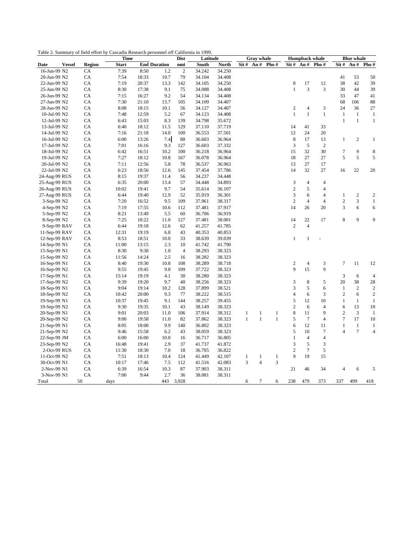|                              |               | <b>Time</b>   |       |                     | <b>Dist</b>    | Latitude |        |              | <b>Gray</b> whale |                                           |                     |                              | <b>Humpback whale</b>    |                                | <b>Blue whale</b> |                                |
|------------------------------|---------------|---------------|-------|---------------------|----------------|----------|--------|--------------|-------------------|-------------------------------------------|---------------------|------------------------------|--------------------------|--------------------------------|-------------------|--------------------------------|
| <b>Vessel</b><br>Date        | <b>Region</b> | <b>Start</b>  |       | <b>End Duration</b> | nmi            | South    | North  |              |                   | $\text{Sit}\# \text{ An}\# \text{ Pho}\#$ |                     | $\text{Sit}~\#~\text{An}~\#$ | Pho#                     | Sit #                          | An $#$            | Pho#                           |
| 16-Jun-99 N2                 | CA            | 7:39          | 8:50  | 1.2                 | $\sqrt{2}$     | 34.242   | 34.250 |              |                   |                                           |                     |                              |                          |                                |                   |                                |
| 20-Jun-99 N2                 | CA            | 7:54          | 18:33 | 10.7                | 79             | 34.104   | 34.408 |              |                   |                                           |                     |                              |                          | 41                             | 53                | 50                             |
| 22-Jun-99 N2                 | CA            | 7:19          | 20:37 | 13.3                | 142            | 34.105   | 34.250 |              |                   |                                           | 8                   | 17                           | 12                       | 38                             | 42                | 39                             |
| 25-Jun-99 N2                 | CA            | 8:30          | 17:38 | 9.1                 | 75             | 34.088   | 34.408 |              |                   |                                           | $\mathbf{1}$        | 3                            | 3                        | 30                             | 44                | 39                             |
| 26-Jun-99 N2                 | CA            | 7:15          | 16:27 | 9.2                 | 54             | 34.134   | 34.408 |              |                   |                                           |                     |                              |                          | 33                             | 47                | 41                             |
| 27-Jun-99 N2                 | CA            | 7:30          | 21:10 | 13.7                | 105            | 34.109   | 34.407 |              |                   |                                           |                     |                              |                          | 68                             | 106               | 88                             |
| 28-Jun-99 N2                 | CA            | 8:08          | 18:15 | 10.1                | 56             | 34.127   | 34.407 |              |                   |                                           | $\sqrt{2}$          | $\overline{4}$               | 3                        | 24                             | 36                | 27                             |
| 10-Jul-99 N2                 | CA            | 7:48          | 12:59 | 5.2                 | 67             | 34.123   | 34.408 |              |                   |                                           | $\mathbf{1}$        | $\mathbf{1}$                 | $\mathbf{1}$             | $\,1\,$                        | $\mathbf{1}$      | $\mathbf{1}$                   |
| 12-Jul-99 N2                 | CA            | 6:43          | 15:03 | 8.3                 | 139            | 34.798   | 35.672 |              |                   |                                           |                     |                              |                          | $\mathbf{1}$                   | $\mathbf{1}$      | $\mathbf{1}$                   |
| 13-Jul-99 N2                 | CA            | 6:40          | 18:12 | 11.5                | 129            | 37.110   | 37.719 |              |                   |                                           | 14                  | 41                           | 33                       |                                |                   |                                |
| 14-Jul-99 N2                 | CA            | 7:16          | 21:18 | 14.0                | 100            | 36.553   | 37.501 |              |                   |                                           | 12                  | 24                           | 20                       |                                |                   |                                |
| 16-Jul-99 N2                 | CA            | 6:00          | 13:26 | 7.4                 | 88             | 36.603   | 36.964 |              |                   |                                           | 8                   | 17                           | 13                       | $\mathbf{1}$                   | $\overline{c}$    | $\mathbf{1}$                   |
| 17-Jul-99 N2                 | CA            | 7:01          | 16:16 | 9.3                 | 127            | 36.603   | 37.332 |              |                   |                                           | 3                   | $\sqrt{5}$                   | $\overline{2}$           |                                |                   |                                |
| 18-Jul-99 N2                 | CA            | 6:42          | 16:51 | 10.2                | 100            | 36.218   | 36.964 |              |                   |                                           | 15                  | 32                           | 30                       | $\overline{7}$                 | 9                 | 8                              |
| 19-Jul-99 N2                 | CA            | 7:27          | 18:12 | 10.8                | 167            | 36.078   | 36.964 |              |                   |                                           | 18                  | 27                           | 27                       | 5                              | 5                 | 5                              |
| 20-Jul-99 N2                 | CA            | 7:11          | 12:56 | 5.8                 | 78             | 36.537   | 36.963 |              |                   |                                           | 13                  | 27                           | 17                       |                                |                   |                                |
| 22-Jul-99 N2                 | CA            | 6:23          | 18:56 | 12.6                | 145            | 37.454   | 37.786 |              |                   |                                           | 14                  | 32                           | 27                       | 16                             | 22                | 20                             |
| 24-Aug-99 RUS                | CA            | 8:15          | 19:37 | 11.4                | 56             | 34.237   | 34.448 |              |                   |                                           |                     |                              |                          |                                |                   |                                |
| 25-Aug-99 RUS                | CA            | 6:35          | 20:00 | 13.4                | 57             | 34.448   | 34.893 |              |                   |                                           | 3                   | $\overline{4}$               | $\overline{4}$           |                                |                   |                                |
| 26-Aug-99 RUS                | CA            | 10:02         | 19:41 | 9.7                 | 54             | 35.614   | 36.107 |              |                   |                                           | $\overline{c}$      | 5                            | $\overline{4}$           |                                |                   |                                |
| 27-Aug-99 RUS                | CA            | 6:44          | 19:40 | 12.9                | 52             | 35.919   | 36.301 |              |                   |                                           | 3                   | 6                            | $\overline{\mathcal{L}}$ | $\mathbf{1}$                   | $\sqrt{2}$        | $\overline{c}$                 |
| 3-Sep-99 N2                  | CA            | 7:20          | 16:52 | 9.5                 | 109            | 37.961   | 38.317 |              |                   |                                           | $\overline{2}$      | $\overline{4}$               | $\overline{4}$           | $\overline{c}$                 | 3                 | $\mathbf{1}$                   |
| 4-Sep-99 N2                  | CA            | 7:19          | 17:55 | 10.6                | 112            | 37.481   | 37.917 |              |                   |                                           | 14                  | 26                           | 20                       | 3                              | 6                 | 6                              |
| 5-Sep-99 N2                  | CA            | 8:21          | 13:49 | 5.5                 | 60             | 36.706   | 36.919 |              |                   |                                           |                     |                              |                          |                                |                   |                                |
| 8-Sep-99 N2                  | CA            | 7:25          | 18:22 | 11.0                | 127            | 37.481   | 38.001 |              |                   |                                           | 14                  | 22                           | 17                       | 8                              | 9                 | 9                              |
| 9-Sep-99 RAV                 | CA            | 6:44          | 19:18 | 12.6                | 62             | 41.257   | 41.785 |              |                   |                                           | $\overline{c}$      | $\overline{4}$               |                          |                                |                   |                                |
| 11-Sep-99 RAV                | CA            | 12:31         | 19:19 | 6.8                 | 43             | 40.353   | 40.853 |              |                   |                                           |                     |                              |                          |                                |                   |                                |
| $12$ -Sep-99 RAV             | CA            | 8:53          | 18:51 | 10.0                | 33             | 38.639   | 39.039 |              |                   |                                           | $\mathbf{1}$        | $\mathbf{1}$                 |                          |                                |                   |                                |
| 14-Sep-99 N1                 | CA            | 11:00         | 13:15 | 2.3                 | 10             | 41.742   | 41.790 |              |                   |                                           |                     |                              |                          |                                |                   |                                |
| 15-Sep-99 N1                 | ${\rm CA}$    | 8:30          | 9:30  | 1.0                 | $\overline{4}$ | 38.293   | 38.323 |              |                   |                                           |                     |                              |                          |                                |                   |                                |
| 15-Sep-99 N2                 | CA            | 11:56         | 14:24 | 2.5                 | 16             | 38.282   | 38.323 |              |                   |                                           |                     |                              |                          |                                |                   |                                |
| 16-Sep-99 N1                 | CA            | 8:40          | 19:30 | 10.8                | 108            | 38.289   | 38.718 |              |                   |                                           | 2                   | $\overline{4}$               | 3                        | $\tau$                         | 11                | 12                             |
|                              | CA            |               | 19:45 | 9.8                 | 109            | 37.722   | 38.323 |              |                   |                                           | 9                   | 15                           | 9                        |                                |                   |                                |
| 16-Sep-99 N2<br>17-Sep-99 N1 | CA            | 9:55<br>15:14 | 19:19 | 4.1                 | 30             | 38.280   | 38.323 |              |                   |                                           |                     |                              |                          | 3                              | 6                 | $\overline{4}$                 |
| 17-Sep-99 N2                 | CA            | 9:39          | 19:20 | 9.7                 | 40             | 38.256   | 38.323 |              |                   |                                           | 3                   | $\,$ 8 $\,$                  | 5                        | 20                             | 38                | 28                             |
|                              |               |               |       |                     |                |          |        |              |                   |                                           |                     | 5                            | 6                        |                                | $\overline{2}$    |                                |
| 18-Sep-99 N1                 | CA            | 9:04          | 19:14 | 10.2                | 128            | 37.899   | 38.521 |              |                   |                                           | 3<br>$\overline{4}$ |                              |                          | $\mathbf{1}$<br>$\overline{c}$ | 6                 | $\boldsymbol{2}$<br>$\sqrt{2}$ |
| 18-Sep-99 N2                 | CA            | 10:42         | 20:00 | 9.3                 | 77<br>144      | 38.222   | 38.515 |              |                   |                                           | 5                   | 6<br>12                      | 3<br>10                  |                                |                   |                                |
| 19-Sep-99 N1                 | CA            | 10:37         | 19:45 | 9.1                 |                | 38.257   | 39.455 |              |                   |                                           |                     |                              |                          | $\mathbf{1}$                   | $\mathbf{1}$      | $\mathbf{1}$                   |
| 19-Sep-99 N2                 | CA            | 9:30          | 19:35 | 10.1                | 43             | 38.149   | 38.323 |              |                   |                                           | $\overline{c}$      | 6                            | $\overline{4}$           | 6                              | 13                | 10                             |
| 20-Sep-99 N1                 | CA            | 9:01          | 20:03 | 11.0                | 106            | 37.914   | 38.312 | 1            | 1<br>$\mathbf{1}$ | 1                                         | 8                   | 11<br>$\overline{7}$         | 9                        | 2<br>$\overline{7}$            | 3                 | $\mathbf{1}$                   |
| 20-Sep-99 N2                 | CA            | 9:00          | 19:58 | 11.0                | 82             | 37.862   | 38.323 | $\mathbf{1}$ |                   | $\,1$                                     | 5                   |                              | $\overline{4}$           |                                | 17                | 10                             |
| 21-Sep-99 N1                 | CA            | 8:05          | 18:00 | 9.9                 | 140            | 36.802   | 38.323 |              |                   |                                           | 6                   | 12                           | 11                       | $\mathbf{1}$                   | $\mathbf{1}$      | $\mathbf{1}$                   |
| 21-Sep-99 N2                 | CA            | 9:46          | 15:58 | 6.2                 | 43             | 38.059   | 38.323 |              |                   |                                           | 5                   | 10                           | $\tau$                   | 4                              | $\tau$            | $\overline{4}$                 |
| 22-Sep-99 JM                 | CA            | 6:00          | 16:00 | 10.0                | 16             | 36.717   | 36.805 |              |                   |                                           | $\mathbf{1}$        | $\overline{4}$               | 4                        |                                |                   |                                |
| 23-Sep-99 N2                 | CA            | 16:48         | 19:41 | 2.9                 | 37             | 41.737   | 41.872 |              |                   |                                           | 3                   | 5                            | 3                        |                                |                   |                                |
| 2-Oct-99 RUS                 | CA            | 11:30         | 18:30 | 7.0                 | 18             | 36.705   | 36.822 |              |                   |                                           | $\overline{c}$      | $\tau$                       | 5                        |                                |                   |                                |
| 11-Oct-99 N2                 | CA            | 7:51          | 18:13 | 10.4                | 124            | 41.449   | 42.107 | 1            | 1                 | $\mathbf{1}$                              | 9                   | 19                           | 15                       |                                |                   |                                |
| 30-Oct-99 N1                 | CA            | 10:17         | 17:46 | 7.5                 | 112            | 41.516   | 42.083 | 3            | $\overline{4}$    | 3                                         |                     |                              |                          |                                |                   |                                |
| 2-Nov-99 N1                  | CA            | 6:39          | 16:54 | 10.3                | 87             | 37.903   | 38.311 |              |                   |                                           | 21                  | 46                           | 34                       | $\overline{4}$                 | 6                 | 5                              |
| 3-Nov-99 N1                  | CA            | 7:00          | 9:44  | 2.7                 | 36             | 38.081   | 38.311 |              |                   |                                           |                     |                              |                          |                                |                   |                                |
| Total                        | 50            | days          |       | 443                 | 3,928          |          |        | 6            | $\tau$            | 6                                         | 238                 | 479                          | 373                      | 337                            | 499               | 418                            |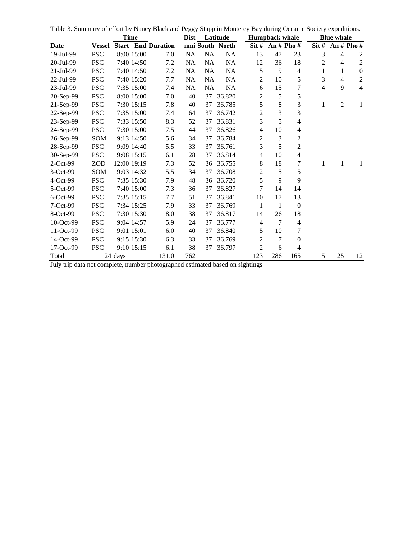Table 3. Summary of effort by Nancy Black and Peggy Stapp in Monterey Bay during Oceanic Society expeditions.

|                                  | <b>Time</b>   |                |              |                           | <b>Dist</b>                |           | Latitude        |                 | <b>Humpback whale</b> |                | <b>Blue whale</b>         |                |                  |  |
|----------------------------------|---------------|----------------|--------------|---------------------------|----------------------------|-----------|-----------------|-----------------|-----------------------|----------------|---------------------------|----------------|------------------|--|
| Date                             | <b>Vessel</b> |                |              | <b>Start</b> End Duration |                            |           | nmi South North | $\text{Sit} \#$ | An $#$ Pho $#$        |                | $\overline{\text{Sit}}$ # |                | An $#$ Pho $#$   |  |
| 19-Jul-99                        | <b>PSC</b>    |                | 8:00 15:00   | 7.0                       | <b>NA</b>                  | NA        | NA              | 13              | 47                    | 23             | 3                         | $\overline{4}$ | $\overline{2}$   |  |
| 20-Jul-99                        | <b>PSC</b>    |                | 7:40 14:50   | 7.2                       | NA                         | <b>NA</b> | NA              | 12              | 36                    | 18             | $\overline{c}$            | 4              | $\sqrt{2}$       |  |
| 21-Jul-99                        | <b>PSC</b>    |                | 7:40 14:50   | 7.2                       | <b>NA</b>                  | <b>NA</b> | NA              | 5               | 9                     | 4              | $\mathbf{1}$              | $\mathbf{1}$   | $\boldsymbol{0}$ |  |
| 22-Jul-99                        | <b>PSC</b>    |                | 7:40 15:20   | 7.7                       | NA                         | NA        | NA              | $\overline{c}$  | 10                    | 5              | 3                         | 4              | $\sqrt{2}$       |  |
| 23-Jul-99                        | <b>PSC</b>    |                | 7:35 15:00   | 7.4                       | <b>NA</b>                  | NA        | NA              | 6               | 15                    | 7              | 4                         | 9              | $\overline{4}$   |  |
| 20-Sep-99                        | <b>PSC</b>    |                | 8:00 15:00   | 7.0                       | 40                         | 37        | 36.820          | $\overline{c}$  | $\mathfrak s$         | 5              |                           |                |                  |  |
| 21-Sep-99                        | <b>PSC</b>    |                | 7:30 15:15   | 7.8                       | 40                         | 37        | 36.785          | 5               | 8                     | 3              | 1                         | $\overline{c}$ | 1                |  |
| 22-Sep-99                        | <b>PSC</b>    |                | 7:35 15:00   | 7.4                       | 64                         | 37        | 36.742          | $\overline{c}$  | 3                     | 3              |                           |                |                  |  |
| 23-Sep-99                        | <b>PSC</b>    |                | 7:33 15:50   | 8.3                       | 52                         | 37        | 36.831          | 3               | 5                     | 4              |                           |                |                  |  |
| 24-Sep-99                        | <b>PSC</b>    |                | 7:30 15:00   | 7.5                       | 44                         | 37        | 36.826          | $\overline{4}$  | 10                    | 4              |                           |                |                  |  |
| 26-Sep-99                        | SOM           |                | 9:13 14:50   | 5.6                       | 34                         | 37        | 36.784          | $\overline{c}$  | 3                     | $\overline{c}$ |                           |                |                  |  |
| 28-Sep-99                        | <b>PSC</b>    |                | 9:09 14:40   | 5.5                       | 33                         | 37        | 36.761          | 3               | 5                     | $\overline{2}$ |                           |                |                  |  |
| 30-Sep-99                        | PSC           |                | 9:08 15:15   | 6.1                       | 28                         | 37        | 36.814          | 4               | 10                    | 4              |                           |                |                  |  |
| $2$ -Oct-99                      | <b>ZOD</b>    | 12:00 19:19    |              | 7.3                       | 52                         | 36        | 36.755          | 8               | 18                    | 7              | 1                         | 1              | 1                |  |
| $3-Oct-99$                       | SOM           |                | 9:03 14:32   | 5.5                       | 34                         | 37        | 36.708          | $\overline{c}$  | 5                     | 5              |                           |                |                  |  |
| $4-Oct-99$                       | PSC           |                | 7:35 15:30   | 7.9                       | 48                         | 36        | 36.720          | 5               | 9                     | 9              |                           |                |                  |  |
| 5-Oct-99                         | <b>PSC</b>    |                | 7:40 15:00   | 7.3                       | 36                         | 37        | 36.827          | 7               | 14                    | 14             |                           |                |                  |  |
| $6$ -Oct-99                      | <b>PSC</b>    |                | 7:35 15:15   | 7.7                       | 51                         | 37        | 36.841          | 10              | 17                    | 13             |                           |                |                  |  |
| 7-Oct-99                         | <b>PSC</b>    |                | 7:34 15:25   | 7.9                       | 33                         | 37        | 36.769          | $\mathbf{1}$    | 1                     | $\mathbf{0}$   |                           |                |                  |  |
| 8-Oct-99                         | <b>PSC</b>    |                | 7:30 15:30   | 8.0                       | 38                         | 37        | 36.817          | 14              | 26                    | 18             |                           |                |                  |  |
| 10-Oct-99                        | <b>PSC</b>    |                | 9:04 14:57   | 5.9                       | 24                         | 37        | 36.777          | 4               | $\tau$                | 4              |                           |                |                  |  |
| 11-Oct-99                        | <b>PSC</b>    |                | 9:01 15:01   | 6.0                       | 40                         | 37        | 36.840          | 5               | 10                    | 7              |                           |                |                  |  |
| 14-Oct-99                        | <b>PSC</b>    |                | 9:15 15:30   | 6.3                       | 33                         | 37        | 36.769          | $\overline{c}$  | $\overline{7}$        | $\mathbf{0}$   |                           |                |                  |  |
| 17-Oct-99                        | <b>PSC</b>    |                | 9:10 15:15   | 6.1                       | 38                         | 37        | 36.797          | $\overline{c}$  | 6                     | 4              |                           |                |                  |  |
| Total<br>$T = 1 - 1 - 1 - 1 - 1$ |               | 24 days<br>1.1 | $\mathbf{1}$ | 131.0                     | 762<br>$1 - 1 - 1 - 1 - 1$ |           | $-1$            | 123<br>1.111    | 286                   | 165            | 15                        | 25             | 12               |  |

July trip data not complete, number photographed estimated based on sightings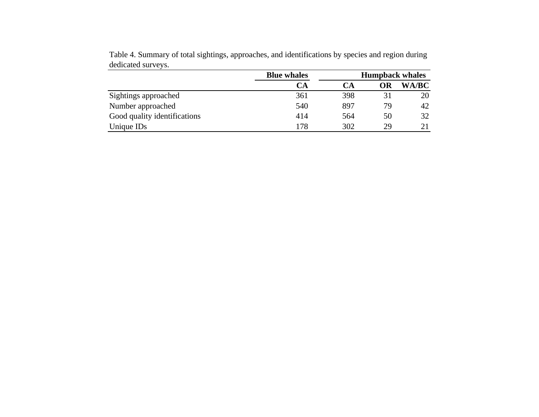|                              | <b>Blue whales</b> |     | <b>Humpback whales</b> |              |
|------------------------------|--------------------|-----|------------------------|--------------|
|                              | <b>CA</b>          | СA  | <b>OR</b>              | <b>WA/BC</b> |
| Sightings approached         | 361                | 398 | 31                     | 20           |
| Number approached            | 540                | 897 | 79                     | 42           |
| Good quality identifications | 414                | 564 | 50                     | 32           |
| Unique ID <sub>s</sub>       | 178                | 302 | 29                     | 21           |

Table 4. Summary of total sightings, approaches, and identifications by species and region during dedicated surveys.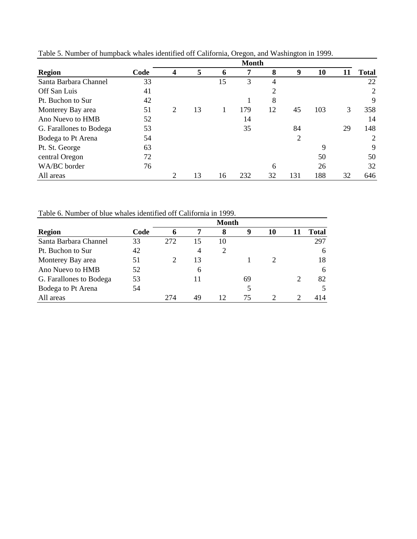|                         | <b>Month</b> |   |    |    |     |    |     |     |    |              |  |
|-------------------------|--------------|---|----|----|-----|----|-----|-----|----|--------------|--|
| <b>Region</b>           | Code         | 4 | 5  | n  |     | 8  | 9   | 10  |    | <b>Total</b> |  |
| Santa Barbara Channel   | 33           |   |    | 15 | 3   | 4  |     |     |    | 22           |  |
| Off San Luis            | 41           |   |    |    |     | 2  |     |     |    | 2            |  |
| Pt. Buchon to Sur       | 42           |   |    |    |     | 8  |     |     |    | 9            |  |
| Monterey Bay area       | 51           | 2 | 13 |    | 179 | 12 | 45  | 103 | 3  | 358          |  |
| Ano Nuevo to HMB        | 52           |   |    |    | 14  |    |     |     |    | 14           |  |
| G. Farallones to Bodega | 53           |   |    |    | 35  |    | 84  |     | 29 | 148          |  |
| Bodega to Pt Arena      | 54           |   |    |    |     |    | 2   |     |    | 2            |  |
| Pt. St. George          | 63           |   |    |    |     |    |     | 9   |    | 9            |  |
| central Oregon          | 72           |   |    |    |     |    |     | 50  |    | 50           |  |
| WA/BC border            | 76           |   |    |    |     | 6  |     | 26  |    | 32           |  |
| All areas               |              | 2 | 13 | 16 | 232 | 32 | 131 | 188 | 32 | 646          |  |

Table 5. Number of humpback whales identified off California, Oregon, and Washington in 1999.

Table 6. Number of blue whales identified off California in 1999.

|                         | <b>Month</b> |     |    |                |    |    |                |              |  |  |  |  |
|-------------------------|--------------|-----|----|----------------|----|----|----------------|--------------|--|--|--|--|
| <b>Region</b>           | Code         |     | 7  | 8              | 9  | 10 |                | <b>Total</b> |  |  |  |  |
| Santa Barbara Channel   | 33           | 272 | 15 | 10             |    |    |                | 297          |  |  |  |  |
| Pt. Buchon to Sur       | 42           |     | 4  | $\overline{2}$ |    |    |                | 6            |  |  |  |  |
| Monterey Bay area       | 51           |     | 13 |                |    |    |                | 18           |  |  |  |  |
| Ano Nuevo to HMB        | 52           |     | 6  |                |    |    |                | 6            |  |  |  |  |
| G. Farallones to Bodega | 53           |     |    |                | 69 |    | $\overline{2}$ | 82           |  |  |  |  |
| Bodega to Pt Arena      | 54           |     |    |                |    |    |                |              |  |  |  |  |
| All areas               |              | 274 | 49 | 12             | 75 |    | ◠              | 414          |  |  |  |  |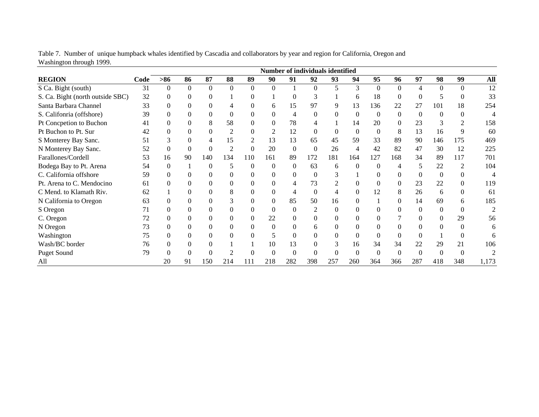|                                  | <b>Number of individuals identified</b> |          |          |          |                |          |          |          |          |          |          |          |          |                |          |          |       |
|----------------------------------|-----------------------------------------|----------|----------|----------|----------------|----------|----------|----------|----------|----------|----------|----------|----------|----------------|----------|----------|-------|
| <b>REGION</b>                    | Code                                    | $>86$    | 86       | 87       | 88             | 89       | 90       | 91       | 92       | 93       | 94       | 95       | 96       | 97             | 98       | 99       | All   |
| S Ca. Bight (south)              | 31                                      | $\Omega$ | $\theta$ | $\Omega$ | $\Omega$       | $\Omega$ | $\Omega$ |          | $\Omega$ | 5        | 3        | $\Omega$ | $\Omega$ | 4              | $\Omega$ | $\Omega$ | 12    |
| S. Ca. Bight (north outside SBC) | 32                                      |          | 0        | 0        |                | 0        |          |          |          |          | 6        | 18       |          | $\Omega$       |          |          | 33    |
| Santa Barbara Channel            | 33                                      |          | $\Omega$ | $\Omega$ |                | $^{(1)}$ | 6        | 15       | 97       | 9        | 13       | 136      | 22       | 27             | 101      | 18       | 254   |
| S. Califonria (offshore)         | 39                                      |          | $\Omega$ | $\Omega$ |                | 0        | $\Omega$ |          | $\Omega$ | 0        | 0        | $\Omega$ | $\Omega$ | $\theta$       | 0        | 0        |       |
| Pt Concpetion to Buchon          | 41                                      |          | $\Omega$ | 8        | 58             | 0        | $\Omega$ | 78       |          |          | 14       | 20       | 0        | 23             | 3        |          | 158   |
| Pt Buchon to Pt. Sur             | 42                                      |          | $\Omega$ | $\Omega$ |                | $^{(1)}$ | 2        | 12       | $\Omega$ | $\Omega$ | $\Omega$ | $\Omega$ | 8        | 13             | 16       | 9        | 60    |
| S Monterey Bay Sanc.             | 51                                      |          | $\Omega$ |          | 15             | 2        | 13       | 13       | 65       | 45       | 59       | 33       | 89       | 90             | 146      | 175      | 469   |
| N Monterey Bay Sanc.             | 52                                      |          | $\theta$ | $\Omega$ | $\overline{2}$ | $\Omega$ | 20       | $\Omega$ | $\Omega$ | 26       | 4        | 42       | 82       | 47             | 30       | 12       | 225   |
| Farallones/Cordell               | 53                                      | 16       | 90       | 140      | 134            | 110      | 161      | 89       | 172      | 181      | 164      | 127      | 168      | 34             | 89       | 117      | 701   |
| Bodega Bay to Pt. Arena          | 54                                      | 0        |          | $\Omega$ |                | 0        | $\Omega$ |          | 63       | 6        | 0        |          |          | 5              | 22       |          | 104   |
| C. California offshore           | 59                                      |          | $\Omega$ | $\Omega$ |                | $^{(1)}$ | $\Omega$ |          | $\Omega$ | 3        |          |          |          | $\overline{0}$ | 0        |          | 4     |
| Pt. Arena to C. Mendocino        | 61                                      |          | $\Omega$ | 0        |                | $^{(1)}$ |          |          | 73       |          |          |          | 0        | 23             | 22       |          | 119   |
| C Mend. to Klamath Riv.          | 62                                      |          | $\Omega$ | $\Omega$ | 8              | $^{(1)}$ | $\Omega$ |          | $\Omega$ | 4        | $\Omega$ | 12       | 8        | 26             | 6        | $\theta$ | 61    |
| N California to Oregon           | 63                                      |          | $\Omega$ | 0        |                | $^{(1)}$ | $\Omega$ | 85       | 50       | 16       | 0        |          | 0        | 14             | 69       | 6        | 185   |
| S Oregon                         | 71                                      |          | 0        | 0        |                |          | $\Omega$ |          |          | 0        |          |          |          | $\Omega$       | 0        |          |       |
| C. Oregon                        | 72                                      |          | $\Omega$ | $\Omega$ |                | 0        | 22       |          |          | 0        | 0        |          |          | $\Omega$       | 0        | 29       | 56    |
| N Oregon                         | 73                                      |          | $\Omega$ | 0        |                | 0        | $\Omega$ |          | h.       | 0        |          |          |          | $\Omega$       |          |          | 6     |
| Washington                       | 75                                      |          | $\Omega$ | $\Omega$ |                | 0        | 5        |          | $\Omega$ | $\Omega$ | $\Omega$ | 0        |          | $\Omega$       |          | $\theta$ | 6     |
| Wash/BC border                   | 76                                      |          | $\Omega$ | 0        |                |          | 10       | 13       | 0        | 3        | 16       | 34       | 34       | 22             | 29       | 21       | 106   |
| Puget Sound                      | 79                                      |          |          | 0        |                |          | $\theta$ |          |          | 0        | 0        |          |          | $\overline{0}$ |          |          |       |
| All                              |                                         | 20       | 91       | 150      | 214            | 111      | 218      | 282      | 398      | 257      | 260      | 364      | 366      | 287            | 418      | 348      | 1,173 |

Table 7. Number of unique humpback whales identified by Cascadia and collaborators by year and region for California, Oregon and Washington through 1999.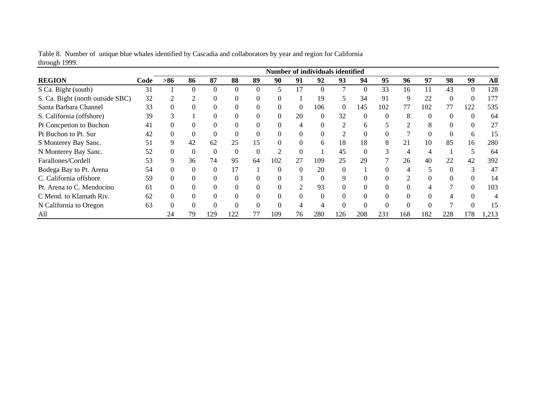|                                  |      |          |              |          |                |          | Number of individuals identified |          |                  |                             |     |          |     |          |     |              |       |
|----------------------------------|------|----------|--------------|----------|----------------|----------|----------------------------------|----------|------------------|-----------------------------|-----|----------|-----|----------|-----|--------------|-------|
| <b>REGION</b>                    | Code | $> 86$   | 86           | 87       | 88             | 89       | 90                               | 91       | 92               | 93                          | 94  | 95       | 96  | 97       | 98  | 99           | All   |
| S Ca. Bight (south)              | 31   |          |              | $\Omega$ | $\Omega$       | $\Omega$ |                                  | 17       | $\Omega$         |                             |     | 33       | 16  | 11       | 43  | $\Omega$     | 128   |
| S. Ca. Bight (north outside SBC) | 32   |          |              |          | $\Omega$       | $\Omega$ |                                  |          | 19               |                             | 34  | 91       | 9   | 22       |     | $\mathbf{0}$ | 177   |
| Santa Barbara Channel            | 33   |          |              | O        | $\Omega$       | $\theta$ |                                  | $\theta$ | 106              | $\theta$                    | 145 | 102      | 77  | 102      | 77  | 122          | 535   |
| S. California (offshore)         | 39   | n.       |              | $\Omega$ | $\Omega$       | 0        | 0                                | 20       | $\mathbf{0}$     | 32                          | 0   | $\Omega$ | 8   | $\Omega$ |     | $\Omega$     | 64    |
| Pt Concpetion to Buchon          | 41   |          |              |          | $\Omega$       | $\Omega$ |                                  |          | 0                | $\mathfrak{D}$              | 6   |          | ↑   | 8        |     | $\Omega$     | 27    |
| Pt Buchon to Pt. Sur             | 42   |          |              | $\theta$ | $\Omega$       | $\Omega$ |                                  | $\Omega$ | 0                | $\mathcal{D}_{\mathcal{L}}$ |     |          |     |          |     | 6            | 15    |
| S Monterey Bay Sanc.             | 51   | 9        | 42           | 62       | 25             | 15       |                                  | $\Omega$ | 6                | 18                          | 18  | 8        | 21  | 10       | 85  | 16           | 280   |
| N Monterey Bay Sanc.             | 52   | $\theta$ | $\mathbf{U}$ | $\Omega$ | $\overline{0}$ | $\Omega$ |                                  | $\Omega$ |                  | 45                          |     | 3        | 4   |          |     | 5            | 64    |
| Farallones/Cordell               | 53   | 9        | 36           | 74       | 95             | 64       | 102                              | 27       | 109              | 25                          | 29  |          | 26  | 40       | 22  | 42           | 392   |
| Bodega Bay to Pt. Arena          | 54   |          |              | $\Omega$ | 17             |          | 0                                | $\Omega$ | 20               | $\Omega$                    |     |          | 4   |          |     | 3            | 47    |
| C. California offshore           | 59   |          |              | $\Omega$ | $\Omega$       |          |                                  | 3        | $\boldsymbol{0}$ | 9                           |     |          | C   |          |     | $\Omega$     | 14    |
| Pt. Arena to C. Mendocino        | 61   |          |              |          | $\Omega$       |          |                                  | 2        | 93               | $\Omega$                    |     |          |     |          |     | $\Omega$     | 103   |
| C Mend. to Klamath Riv.          | 62   |          | $\Omega$     | $\theta$ | $\Omega$       | $\Omega$ |                                  | $\theta$ | $\mathbf{0}$     | $\Omega$                    |     | $\Omega$ | 0   |          |     | $\Omega$     | 4     |
| N California to Oregon           | 63   |          |              | $\Omega$ | $\Omega$       |          |                                  | 4        | 4                |                             |     |          |     |          |     | $\Omega$     | 15    |
| All                              |      | 24       | 79           | 129      | 122            |          | 109                              | 76       | 280              | 26                          | 208 | 231      | 168 | 182      | 228 | 178          | 1,213 |

Table 8. Number of unique blue whales identified by Cascadia and collaborators by year and region for California through 1999.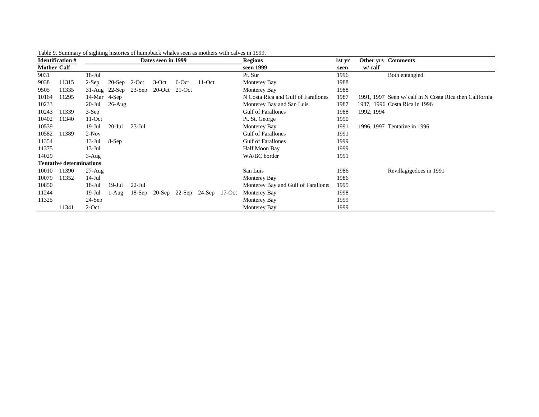|                    | <b>Identification#</b>          |                    |                               |           | Dates seen in 1999 |                                    |          | <b>Regions</b>                      | 1st yr | <b>Other yrs</b> Comments                               |
|--------------------|---------------------------------|--------------------|-------------------------------|-----------|--------------------|------------------------------------|----------|-------------------------------------|--------|---------------------------------------------------------|
| <b>Mother Calf</b> |                                 |                    |                               |           |                    |                                    |          | seen 1999                           | seen   | w/ calf                                                 |
| 9031               |                                 | $18 - Jul$         |                               |           |                    |                                    |          | Pt. Sur                             | 1996   | Both entangled                                          |
| 9038               | 11315                           | $2-Sep$            | $20-Sep$ 2-Oct                |           | $3$ -Oct           | 6-Oct                              | $11-Oct$ | Monterey Bay                        | 1988   |                                                         |
| 9505               | 11335                           |                    | $31$ -Aug $22$ -Sep $23$ -Sep |           | 20-Oct 21-Oct      |                                    |          | Monterey Bay                        | 1988   |                                                         |
| 10164              | 11295                           | $14$ -Mar $4$ -Sep |                               |           |                    |                                    |          | N Costa Rica and Gulf of Farallones | 1987   | 1991, 1997 Seen w/ calf in N Costa Rica then California |
| 10233              |                                 | $20$ -Jul          | $26$ -Aug                     |           |                    |                                    |          | Monterey Bay and San Luis           | 1987   | 1987, 1996 Costa Rica in 1996                           |
| 10243              | 11339                           | $3-Sep$            |                               |           |                    |                                    |          | <b>Gulf of Farallones</b>           | 1988   | 1992, 1994                                              |
| 10402              | 11340                           | $11-Oct$           |                               |           |                    |                                    |          | Pt. St. George                      | 1990   |                                                         |
| 10539              |                                 | $19$ -Jul          | $20$ -Jul                     | $23$ -Jul |                    |                                    |          | Monterey Bay                        | 1991   | 1996, 1997 Tentative in 1996                            |
| 10582              | 11389                           | $2-Nov$            |                               |           |                    |                                    |          | <b>Gulf of Farallones</b>           | 1991   |                                                         |
| 11354              |                                 | $13$ -Jul          | 8-Sep                         |           |                    |                                    |          | <b>Gulf of Farallones</b>           | 1999   |                                                         |
| 11375              |                                 | $13-Jul$           |                               |           |                    |                                    |          | Half Moon Bay                       | 1999   |                                                         |
| 14029              |                                 | $3 - Aug$          |                               |           |                    |                                    |          | WA/BC border                        | 1991   |                                                         |
|                    | <b>Tentative determinations</b> |                    |                               |           |                    |                                    |          |                                     |        |                                                         |
| 10010              | 11390                           | $27 - Aug$         |                               |           |                    |                                    |          | San Luis                            | 1986   | Revillagigedoes in 1991                                 |
| 10079              | 11352                           | $14-Jul$           |                               |           |                    |                                    |          | Monterey Bay                        | 1986   |                                                         |
| 10850              |                                 | $18$ -Jul          | $19$ -Jul                     | $22$ -Jul |                    |                                    |          | Monterey Bay and Gulf of Farallones | 1995   |                                                         |
| 11244              |                                 | $19$ -Jul          | $1-Aug$                       |           |                    | 18-Sep 20-Sep 22-Sep 24-Sep 17-Oct |          | Monterey Bay                        | 1998   |                                                         |
| 11325              |                                 | $24-Sep$           |                               |           |                    |                                    |          | Monterey Bay                        | 1999   |                                                         |
|                    | 11341                           | $2$ -Oct           |                               |           |                    |                                    |          | Monterey Bay                        | 1999   |                                                         |

|  |  | Table 9. Summary of sighting histories of humpback whales seen as mothers with calves in 1999. |  |
|--|--|------------------------------------------------------------------------------------------------|--|
|  |  |                                                                                                |  |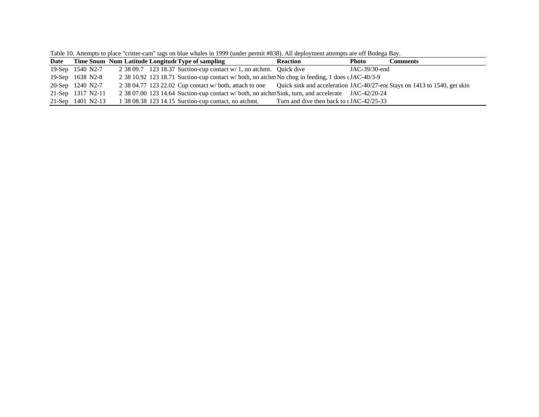| Date |                   |  | Time Snum Num Latitude Longitude Type of sampling                                                                                | <b>Reaction</b>                           | Photo         | Comments |
|------|-------------------|--|----------------------------------------------------------------------------------------------------------------------------------|-------------------------------------------|---------------|----------|
|      | 19-Sep 1540 N2-7  |  | 2 38 09.7 123 18.37 Suction-cup contact $w/1$ , no atchmt. Quick dive                                                            |                                           | JAC-39/30-end |          |
|      | 19-Sep 1638 N2-8  |  | 2 38 10.92 123 18.71 Suction-cup contact w/ both, no atchm No chng in feeding, 1 does cJAC-40/3-9                                |                                           |               |          |
|      | 20-Sep 1240 N2-7  |  | 2 38 04.77 123 22.02 Cup contact w/both, attach to one Quick sink and acceleration JAC-40/27-end Stays on 1413 to 1540, get skin |                                           |               |          |
|      | 21-Sep 1317 N2-11 |  | 2 38 07.00 123 14.64 Suction-cup contact w/ both, no atchm Sink, turn, and accelerate JAC-42/20-24                               |                                           |               |          |
|      | 21-Sep 1401 N2-13 |  | 1 38 08.38 123 14.15 Suction-cup contact, no atchmt.                                                                             | Turn and dive then back to 1 JAC-42/25-33 |               |          |

Table 10. Attempts to place "critter-cam" tags on blue whales in 1999 (under permit #838). All deployment attempts are off Bodega Bay.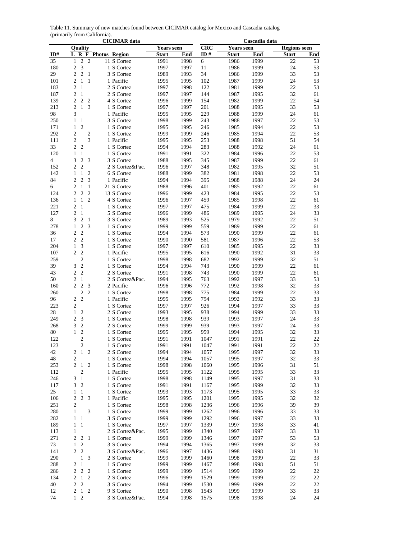Table 11. Summary of new matches found between CICIMAR catalog for Mexico and Cascadia catalog (primarily from California).

|                 | <b>CICIMAR</b> data |                |                           |               |  |                 |                   |      |            | Cascadia data     |      |                     |     |  |
|-----------------|---------------------|----------------|---------------------------|---------------|--|-----------------|-------------------|------|------------|-------------------|------|---------------------|-----|--|
|                 |                     | Quality        |                           |               |  |                 | <b>Years seen</b> |      | <b>CRC</b> | <b>Years seen</b> |      | <b>Regions</b> seen |     |  |
| ID#             | L R F               |                |                           | Photos Region |  |                 | <b>Start</b>      | End  | ID#        | <b>Start</b>      | End  | <b>Start</b>        | End |  |
| $\overline{35}$ | 1                   | $\overline{2}$ | $\overline{2}$            |               |  | 11 S Cortez     | 1991              | 1998 | 6          | 1986              | 1999 | $\overline{22}$     | 53  |  |
| 180             | 2                   | 3              |                           |               |  | 1 S Cortez      | 1997              | 1997 | 11         | 1986              | 1999 | 24                  | 53  |  |
| 29              | $\overline{c}$      | $\overline{2}$ | $\mathbf{1}$              |               |  | 3 S Cortez      | 1989              | 1993 | 34         | 1986              | 1999 | 33                  | 53  |  |
| 101             | $\overline{c}$      | $\mathbf{1}$   | $\mathbf{1}$              |               |  | 1 Pacific       | 1995              | 1995 | 102        | 1987              | 1999 | 24                  | 53  |  |
| 183             | $\overline{2}$      | $\mathbf{1}$   |                           |               |  | 2 S Cortez      | 1997              | 1998 | 122        | 1981              | 1999 | 22                  | 53  |  |
| 187             | $\overline{c}$      | $\mathbf{1}$   |                           |               |  | 2 S Cortez      | 1997              | 1997 | 144        | 1987              | 1995 | 32                  | 61  |  |
| 139             | 2                   | $\overline{2}$ | $\overline{c}$            |               |  | 4 S Cortez      | 1996              | 1999 | 154        | 1982              | 1999 | 22                  | 54  |  |
| 213             | $\overline{2}$      | $\mathbf{1}$   | 3                         |               |  | 1 S Cortez      | 1997              | 1997 | 201        | 1988              | 1995 | 33                  | 53  |  |
| 98              | 3                   |                |                           |               |  | 1 Pacific       | 1995              | 1995 | 229        | 1988              | 1999 | 24                  | 61  |  |
| 250             | $\mathbf{1}$        | $\mathbf{1}$   |                           |               |  | 3 S Cortez      | 1998              | 1999 | 243        | 1988              | 1997 | 22                  | 53  |  |
| 171             | $\mathbf{1}$        | $\overline{2}$ |                           |               |  | 1 S Cortez      | 1995              | 1995 | 246        | 1985              | 1994 | 22                  | 53  |  |
| 292             | $\overline{c}$      |                | $\overline{\mathbf{c}}$   |               |  | 1 S Cortez      | 1999              | 1999 | 246        | 1985              | 1994 | 22                  | 53  |  |
| 111             | $\overline{2}$      |                | 3                         |               |  | 1 Pacific       | 1995              | 1995 | 253        | 1988              | 1998 | 51                  | 54  |  |
| 33              | $\overline{2}$      | $\overline{c}$ |                           |               |  | 1 S Cortez      | 1994              | 1994 | 283        | 1988              | 1992 | 24                  | 61  |  |
| 120             | 1                   | $\mathbf{1}$   |                           |               |  | 1 S Cortez      | 1991              | 1991 | 322        | 1984              | 1996 | 22                  | 53  |  |
| 4               | 3                   | $\overline{c}$ | 3                         |               |  | 3 S Cortez      | 1988              | 1995 | 345        | 1987              | 1999 | 22                  | 61  |  |
| 152             | $\overline{c}$      | $\overline{2}$ |                           |               |  | 2 S Cortez&Pac. | 1996              | 1997 | 348        | 1982              | 1995 | 32                  | 51  |  |
| 142             | $\mathbf{1}$        | $\mathbf{1}$   | $\overline{2}$            |               |  | 6 S Cortez      | 1988              | 1999 | 382        | 1981              | 1998 | 22                  | 53  |  |
| 84              | 2                   | $\overline{c}$ | 3                         |               |  | 1 Pacific       | 1994              | 1994 | 395        | 1988              | 1988 | 24                  | 24  |  |
| 6               | 2                   | 1              | 1                         |               |  | 21 S Cortez     | 1988              | 1996 | 401        | 1985              | 1992 | 22                  | 61  |  |
| 124             | $\overline{c}$      | $\overline{2}$ | $\overline{2}$            |               |  | 13 S Cortez     | 1996              | 1999 | 423        | 1984              | 1995 | 22                  | 53  |  |
| 136             | $\mathbf{1}$        | $\mathbf{1}$   | $\overline{2}$            |               |  | 4 S Cortez      | 1996              | 1997 | 459        | 1985              | 1998 | 22                  | 61  |  |
| 221             | $\overline{c}$      | $\mathbf{1}$   |                           |               |  | 1 S Cortez      | 1997              | 1997 | 475        | 1984              | 1999 | 22                  | 33  |  |
| 127             | $\overline{2}$      | $\mathbf{1}$   |                           |               |  | 5 S Cortez      | 1996              | 1999 | 486        | 1989              | 1995 | 24                  | 33  |  |
| 8               | 3                   | $\overline{2}$ | 1                         |               |  | 3 S Cortez      | 1989              | 1993 | 525        | 1979              | 1992 | 22                  | 51  |  |
| 278             | $\mathbf{1}$        | $\sqrt{2}$     | 3                         |               |  | 1 S Cortez      | 1999              | 1999 | 559        | 1989              | 1999 | 22                  | 61  |  |
| 36              | $\mathfrak{2}$      | $\overline{c}$ |                           |               |  | 1 S Cortez      | 1994              | 1994 | 573        | 1990              | 1999 | 22                  | 61  |  |
| 17              | $\mathfrak{2}$      | $\overline{2}$ |                           |               |  | 1 S Cortez      | 1990              | 1990 | 581        | 1987              | 1996 | 22                  | 53  |  |
| 204             | $\mathbf{1}$        | 3              |                           |               |  | 1 S Cortez      | 1997              | 1997 | 610        | 1985              | 1995 | 22                  | 33  |  |
|                 | $\overline{c}$      | $\overline{c}$ |                           |               |  |                 |                   |      |            |                   |      |                     |     |  |
| 107             |                     | $\overline{c}$ |                           |               |  | 1 Pacific       | 1995              | 1995 | 616        | 1990              | 1992 | 31                  | 33  |  |
| 259             |                     |                |                           |               |  | 1 S Cortez      | 1998              | 1998 | 682        | 1992              | 1999 | 32                  | 51  |  |
| 39              | 3                   | $\overline{c}$ |                           |               |  | 1 S Cortez      | 1994              | 1994 | 743        | 1990              | 1999 | 22                  | 61  |  |
| 43              | $\mathfrak{2}$      | $\overline{2}$ |                           |               |  | 2 S Cortez      | 1991              | 1998 | 743        | 1990              | 1999 | 22                  | 61  |  |
| 50              | $\mathfrak{2}$      | $\mathbf{1}$   |                           |               |  | 2 S Cortez&Pac. | 1994              | 1995 | 763        | 1992              | 1997 | 33                  | 53  |  |
| 160             | $\overline{2}$      | $\overline{c}$ | 3                         |               |  | 2 Pacific       | 1996              | 1996 | 772        | 1992              | 1998 | 32                  | 33  |  |
| 260             |                     | 2              | $\overline{2}$            |               |  | 1 S Cortez      | 1998              | 1998 | 775        | 1984              | 1999 | 22                  | 33  |  |
| 96              | $\overline{c}$      | $\overline{c}$ |                           |               |  | 1 Pacific       | 1995              | 1995 | 794        | 1992              | 1992 | 33                  | 33  |  |
| 223             | $\overline{2}$      |                |                           |               |  | 1 S Cortez      | 1997              | 1997 | 926        | 1994              | 1997 | 33                  | 33  |  |
| 28              | $\mathbf{1}$        | $\overline{2}$ |                           |               |  | 2 S Cortez      | 1993              | 1995 | 938        | 1994              | 1999 | 33                  | 33  |  |
| 249             | $\overline{c}$      | 3              |                           |               |  | 1 S Cortez      | 1998              | 1998 | 939        | 1993              | 1997 | 24                  | 33  |  |
| 268             | 3                   | $\overline{2}$ |                           |               |  | 2 S Cortez      | 1999              | 1999 | 939        | 1993              | 1997 | 24                  | 33  |  |
| 80              | $\mathbf{1}$        | $\overline{2}$ |                           |               |  | 1 S Cortez      | 1995              | 1995 | 959        | 1994              | 1995 | 32                  | 33  |  |
| 122             |                     | $\overline{2}$ |                           |               |  | 1 S Cortez      | 1991              | 1991 | 1047       | 1991              | 1991 | 22                  | 22  |  |
| 123             |                     | 2              |                           |               |  | 1 S Cortez      | 1991              | 1991 | 1047       | 1991              | 1991 | 22                  | 22  |  |
| 42              | 2                   |                | $1\quad2$                 |               |  | 2 S Cortez      | 1994              | 1994 | 1057       | 1995              | 1997 | 32                  | 33  |  |
| 48              | 2                   |                |                           |               |  | 1 S Cortez      | 1994              | 1994 | 1057       | 1995              | 1997 | 32                  | 33  |  |
| 253             |                     | 2 <sub>1</sub> | $\overline{2}$            |               |  | 1 S Cortez      | 1998              | 1998 | 1060       | 1995              | 1996 | 31                  | 51  |  |
| 112             |                     | $\overline{c}$ |                           |               |  | 1 Pacific       | 1995              | 1995 | 1122       | 1995              | 1995 | 33                  | 33  |  |
| 246             | 3                   | $\mathbf{1}$   |                           |               |  | 1 S Cortez      | 1998              | 1998 | 1149       | 1995              | 1997 | 31                  | 33  |  |
| 117             | 3                   | $\overline{2}$ |                           |               |  | 1 S Cortez      | 1991              | 1991 | 1167       | 1995              | 1999 | 32                  | 33  |  |
| 25              | $\mathbf{1}$        | $\mathbf{1}$   |                           |               |  | 1 S Cortez      | 1993              | 1993 | 1173       | 1995              | 1995 | 33                  | 33  |  |
| 106             | 2                   |                | 2 <sub>3</sub>            |               |  | 1 Pacific       | 1995              | 1995 | 1201       | 1995              | 1995 | 32                  | 32  |  |
| 251             | 2                   |                |                           |               |  | 1 S Cortez      | 1998              | 1998 | 1236       | 1996              | 1996 | 39                  | 39  |  |
| 280             | $\mathbf{1}$        |                | 3                         |               |  | 1 S Cortez      | 1999              | 1999 | 1262       | 1996              | 1996 | 33                  | 33  |  |
| 282             | $\mathbf{1}$        | $\mathbf{1}$   |                           |               |  | 3 S Cortez      | 1999              | 1999 | 1292       | 1996              | 1997 | 33                  | 33  |  |
| 189             | $\mathbf{1}$        | $\mathbf{1}$   |                           |               |  | 1 S Cortez      | 1997              | 1997 | 1339       | 1997              | 1998 | 33                  | 41  |  |
| 113             | $\mathbf{1}$        |                |                           |               |  | 2 S Cortez&Pac. | 1995              | 1999 | 1340       | 1997              | 1997 | 33                  | 33  |  |
| 271             | 2                   | $\sqrt{2}$     | -1                        |               |  | 1 S Cortez      | 1999              | 1999 | 1346       | 1997              | 1997 | 53                  | 53  |  |
| 73              | $\mathbf{1}$        | $\overline{c}$ |                           |               |  | 3 S Cortez      | 1994              | 1994 | 1365       | 1997              | 1999 | 32                  | 33  |  |
| 141             | $\overline{c}$      | $\overline{c}$ |                           |               |  | 3 S Cortez&Pac. | 1996              | 1997 | 1436       | 1998              | 1998 | 31                  | 31  |  |
| 290             |                     | $\mathbf{1}$   | $\boldsymbol{\mathsf{3}}$ |               |  | 2 S Cortez      | 1999              | 1999 | 1460       | 1998              | 1999 | 22                  | 33  |  |
| 288             | $\boldsymbol{2}$    | $\mathbf{1}$   |                           |               |  | 1 S Cortez      | 1999              | 1999 | 1467       | 1998              | 1998 | 51                  | 51  |  |
| 286             | $\overline{2}$      | $\sqrt{2}$     | $\sqrt{2}$                |               |  | 1 S Cortez      | 1999              | 1999 | 1514       | 1999              | 1999 | 22                  | 22  |  |
| 134             | $\overline{c}$      |                | $1\quad2$                 |               |  | 2 S Cortez      | 1996              | 1999 | 1529       | 1999              | 1999 | 22                  | 22  |  |
| 40              | 2                   | $\overline{2}$ |                           |               |  | 3 S Cortez      | 1994              | 1999 | 1530       | 1999              | 1999 | 22                  | 22  |  |
| 12              | 2                   | $1\quad 2$     |                           |               |  | 9 S Cortez      | 1990              | 1998 | 1543       | 1999              | 1999 | 33                  | 33  |  |
| 74              |                     | $1\quad 2$     |                           |               |  | 3 S Cortez&Pac. | 1994              | 1998 | 1575       | 1998              | 1998 | 24                  | 24  |  |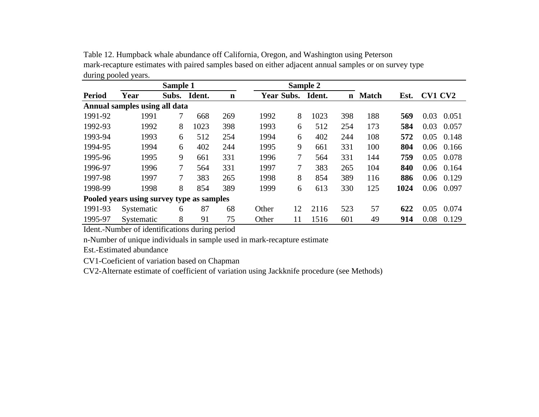| during pooled years. |                                           |       |          |             |                   |    |        |             |              |      |         |       |
|----------------------|-------------------------------------------|-------|----------|-------------|-------------------|----|--------|-------------|--------------|------|---------|-------|
|                      |                                           |       | Sample 2 |             |                   |    |        |             |              |      |         |       |
| <b>Period</b>        | Year                                      | Subs. | Ident.   | $\mathbf n$ | <b>Year Subs.</b> |    | Ident. | $\mathbf n$ | <b>Match</b> | Est. | CV1 CV2 |       |
|                      | Annual samples using all data             |       |          |             |                   |    |        |             |              |      |         |       |
| 1991-92              | 1991                                      | 7     | 668      | 269         | 1992              | 8  | 1023   | 398         | 188          | 569  | 0.03    | 0.051 |
| 1992-93              | 1992                                      | 8     | 1023     | 398         | 1993              | 6  | 512    | 254         | 173          | 584  | 0.03    | 0.057 |
| 1993-94              | 1993                                      | 6     | 512      | 254         | 1994              | 6  | 402    | 244         | 108          | 572  | 0.05    | 0.148 |
| 1994-95              | 1994                                      | 6     | 402      | 244         | 1995              | 9  | 661    | 331         | 100          | 804  | 0.06    | 0.166 |
| 1995-96              | 1995                                      | 9     | 661      | 331         | 1996              | 7  | 564    | 331         | 144          | 759  | 0.05    | 0.078 |
| 1996-97              | 1996                                      | 7     | 564      | 331         | 1997              | 7  | 383    | 265         | 104          | 840  | 0.06    | 0.164 |
| 1997-98              | 1997                                      | 7     | 383      | 265         | 1998              | 8  | 854    | 389         | 116          | 886  | 0.06    | 0.129 |
| 1998-99              | 1998                                      | 8     | 854      | 389         | 1999              | 6  | 613    | 330         | 125          | 1024 | 0.06    | 0.097 |
|                      | Pooled years using survey type as samples |       |          |             |                   |    |        |             |              |      |         |       |
| 1991-93              | Systematic                                | 6     | 87       | 68          | Other             | 12 | 2116   | 523         | 57           | 622  | 0.05    | 0.074 |
| 1995-97              | Systematic                                | 8     | 91       | 75          | Other             | 11 | 1516   | 601         | 49           | 914  | 0.08    | 0.129 |

Table 12. Humpback whale abundance off California, Oregon, and Washington using Peterson mark-recapture estimates with paired samples based on either adjacent annual samples or on survey type during pooled years.

Ident.-Number of identifications during period

n-Number of unique individuals in sample used in mark-recapture estimate

Est.-Estimated abundance

CV1-Coeficient of variation based on Chapman

CV2-Alternate estimate of coefficient of variation using Jackknife procedure (see Methods)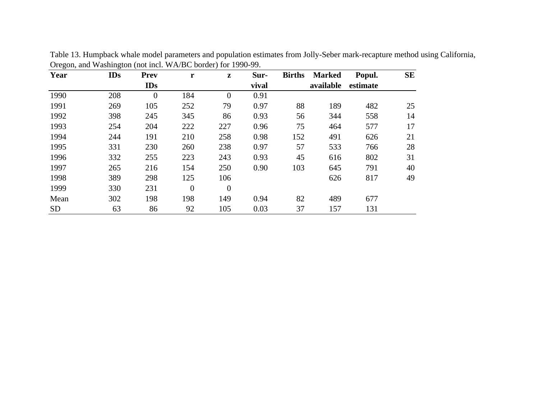| Year      | <b>IDs</b> | Prev         | r              | $\mathbf{z}$     | Sur-  | <b>Births</b> | <b>Marked</b> | Popul.   | <b>SE</b> |
|-----------|------------|--------------|----------------|------------------|-------|---------------|---------------|----------|-----------|
|           |            | IDs          |                |                  | vival |               | available     | estimate |           |
| 1990      | 208        | $\mathbf{0}$ | 184            | $\boldsymbol{0}$ | 0.91  |               |               |          |           |
| 1991      | 269        | 105          | 252            | 79               | 0.97  | 88            | 189           | 482      | 25        |
| 1992      | 398        | 245          | 345            | 86               | 0.93  | 56            | 344           | 558      | 14        |
| 1993      | 254        | 204          | 222            | 227              | 0.96  | 75            | 464           | 577      | 17        |
| 1994      | 244        | 191          | 210            | 258              | 0.98  | 152           | 491           | 626      | 21        |
| 1995      | 331        | 230          | 260            | 238              | 0.97  | 57            | 533           | 766      | 28        |
| 1996      | 332        | 255          | 223            | 243              | 0.93  | 45            | 616           | 802      | 31        |
| 1997      | 265        | 216          | 154            | 250              | 0.90  | 103           | 645           | 791      | 40        |
| 1998      | 389        | 298          | 125            | 106              |       |               | 626           | 817      | 49        |
| 1999      | 330        | 231          | $\overline{0}$ | $\mathbf{0}$     |       |               |               |          |           |
| Mean      | 302        | 198          | 198            | 149              | 0.94  | 82            | 489           | 677      |           |
| <b>SD</b> | 63         | 86           | 92             | 105              | 0.03  | 37            | 157           | 131      |           |

Table 13. Humpback whale model parameters and population estimates from Jolly-Seber mark-recapture method using California, Oregon, and Washington (not incl. WA/BC border) for 1990-99.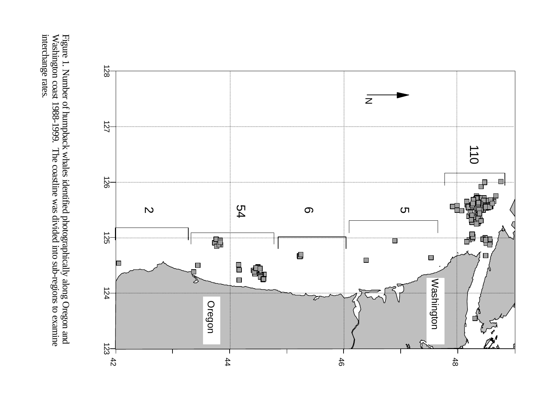interchange rates. Figure 1. Number of humpback whales identified photographically along Oregon and Washington coast 1988-1999. The coastline was divided into sub-regions to examine interchange rates. Washington coast 1988-1999. The coastline was divided into sub-regions to examine Figure 1. Number of humpback whales identified photographically along Oregon and

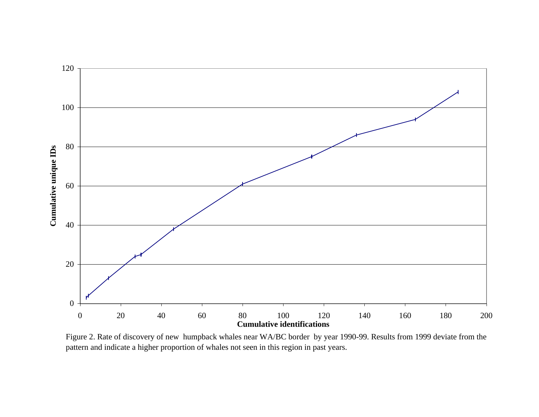

Figure 2. Rate of discovery of new humpback whales near WA/BC border by year 1990-99. Results from 1999 deviate from the pattern and indicate a higher proportion of whales not seen in this region in past years.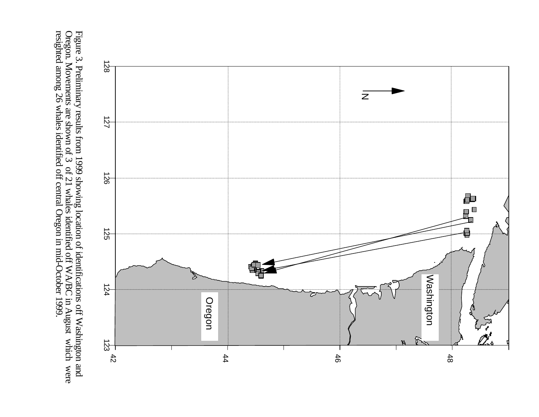Figure 3. Preliminary results from 1999 showing location of identifications off Washington and Oregon. Movements are shown of 3 of 21 whales identified off WA/BC in August which were resighted among 26 whales identified of resighted among 26 whales identified off central Oregon in mid-October 1999. Oregon. Movements are shown of 3 of 21 whales identified off WA/BC in August which were Figure 3. Preliminary results from 1999 showing location of identifications off Washington and

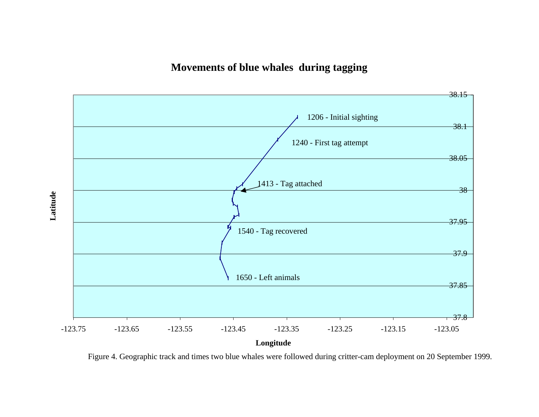**Movements of blue whales during tagging**



Figure 4. Geographic track and times two blue whales were followed during critter-cam deployment on 20 September 1999.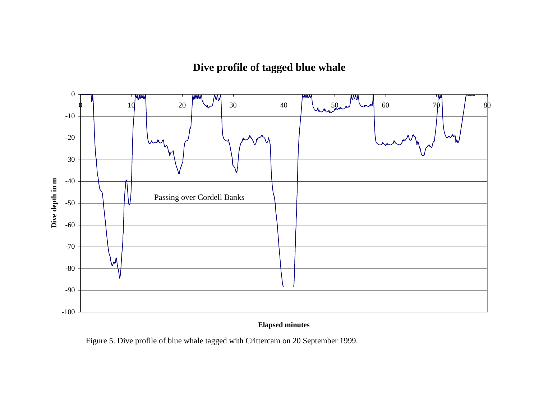**Dive profile of tagged blue whale**



## **Elapsed minutes**

Figure 5. Dive profile of blue whale tagged with Crittercam on 20 September 1999.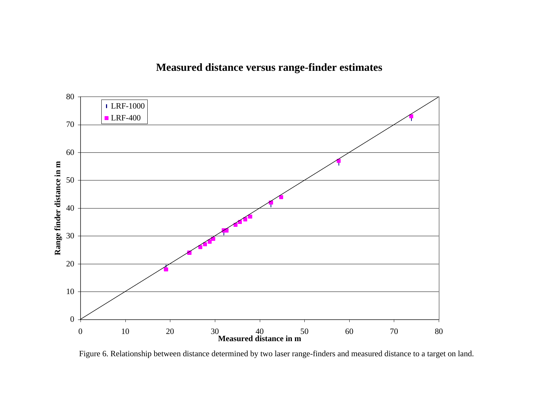# **Measured distance versus range-finder estimates**



Figure 6. Relationship between distance determined by two laser range-finders and measured distance to a target on land.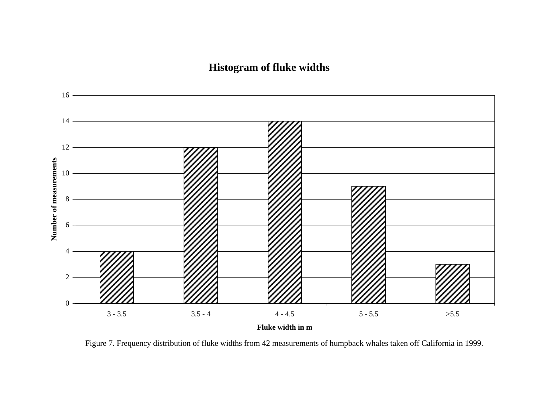# **Histogram of fluke widths**



Figure 7. Frequency distribution of fluke widths from 42 measurements of humpback whales taken off California in 1999.